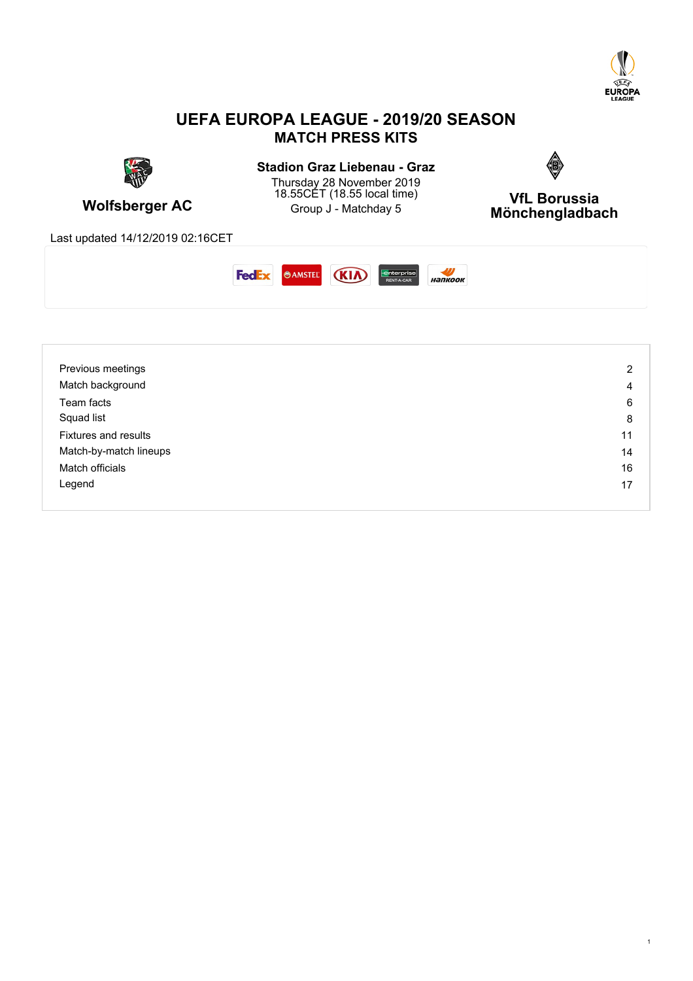

### **UEFA EUROPA LEAGUE - 2019/20 SEASON MATCH PRESS KITS**



# **Stadion Graz Liebenau - Graz**



**Wolfsberger AC Group J** - Matchday 5 Thursday 28 November 2019 18.55CET (18.55 local time)  $VfI$  Rorussia

**VfL Borussia Mönchengladbach**

Last updated 14/12/2019 02:16CET



| Previous meetings           | 2  |
|-----------------------------|----|
| Match background            | 4  |
| Team facts                  | 6  |
| Squad list                  | 8  |
| <b>Fixtures and results</b> | 11 |
| Match-by-match lineups      | 14 |
| Match officials             | 16 |
| Legend                      | 17 |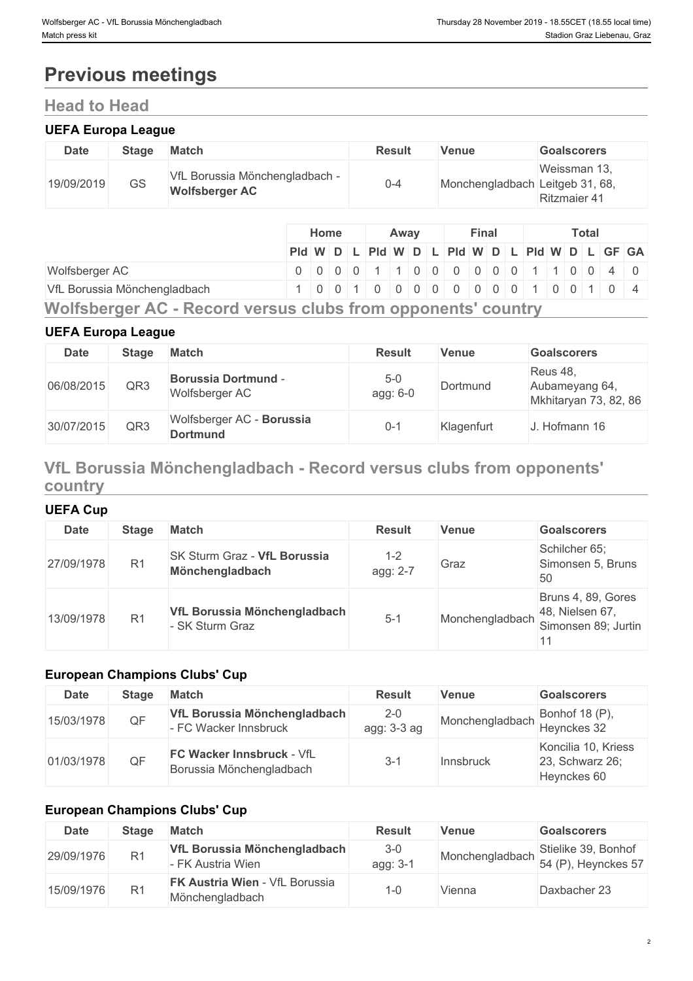# **Previous meetings**

## **Head to Head**

### **UEFA Europa League**

| <b>Date</b> | <b>Stage</b> | <b>Match</b>                                            | <b>Result</b> | Venue                           | <b>Goalscorers</b>                  |
|-------------|--------------|---------------------------------------------------------|---------------|---------------------------------|-------------------------------------|
| 19/09/2019  | GS           | VfL Borussia Mönchengladbach -<br><b>Wolfsberger AC</b> | 0-4           | Monchengladbach Leitgeb 31, 68, | Weissman 13,<br><b>Ritzmaier 41</b> |

|                                                              | Home                                          |  | Away |  |  |  | <b>Final</b> |  |  |  | Total |  |  |  |  |  |  |
|--------------------------------------------------------------|-----------------------------------------------|--|------|--|--|--|--------------|--|--|--|-------|--|--|--|--|--|--|
|                                                              | Pid W D L Pid W D L Pid W D L Pid W D L GF GA |  |      |  |  |  |              |  |  |  |       |  |  |  |  |  |  |
| Wolfsberger AC                                               | 0 0 0 0 0 1 1 0 0 0 0 0 0 0 1 1 0 0 4 0       |  |      |  |  |  |              |  |  |  |       |  |  |  |  |  |  |
| VfL Borussia Mönchengladbach                                 | 1001000000000100104                           |  |      |  |  |  |              |  |  |  |       |  |  |  |  |  |  |
| Wolfsberger AC - Record versus clubs from opponents' country |                                               |  |      |  |  |  |              |  |  |  |       |  |  |  |  |  |  |

# **UEFA Europa League**

| <b>Date</b> | <b>Stage</b> | <b>Match</b>                                 | <b>Result</b>     | Venue      | <b>Goalscorers</b>                                  |
|-------------|--------------|----------------------------------------------|-------------------|------------|-----------------------------------------------------|
| 06/08/2015  | QR3          | <b>Borussia Dortmund -</b><br>Wolfsberger AC | $5-0$<br>agg: 6-0 | Dortmund   | Reus 48,<br>Aubameyang 64,<br>Mkhitaryan 73, 82, 86 |
| 30/07/2015  | QR3          | Wolfsberger AC - Borussia<br><b>Dortmund</b> | $0 - 1$           | Klagenfurt | J. Hofmann 16                                       |

### **VfL Borussia Mönchengladbach - Record versus clubs from opponents' country**

### **UEFA Cup**

| <b>Date</b> | <b>Stage</b>   | <b>Match</b>                                    | <b>Result</b>   | Venue           | <b>Goalscorers</b>                                           |
|-------------|----------------|-------------------------------------------------|-----------------|-----------------|--------------------------------------------------------------|
| 27/09/1978  | R <sub>1</sub> | SK Sturm Graz - VfL Borussia<br>Mönchengladbach | 1-2<br>agg: 2-7 | Graz            | Schilcher 65;<br>Simonsen 5, Bruns<br>50                     |
| 13/09/1978  | R <sub>1</sub> | VfL Borussia Mönchengladbach<br>- SK Sturm Graz | $5 - 1$         | Monchengladbach | Bruns 4, 89, Gores<br>48, Nielsen 67,<br>Simonsen 89; Jurtin |

### **European Champions Clubs' Cup**

| <b>Date</b> | Stage | Match                                                 | <b>Result</b>          | <b>Venue</b>    | <b>Goalscorers</b>                                    |
|-------------|-------|-------------------------------------------------------|------------------------|-----------------|-------------------------------------------------------|
| 15/03/1978  | QF    | VfL Borussia Mönchengladbach<br>- FC Wacker Innsbruck | $2 - 0$<br>agg: 3-3 ag | Monchengladbach | Bonhof 18 (P),<br>Heynckes 32                         |
| 01/03/1978  | QF    | FC Wacker Innsbruck - VfL<br>Borussia Mönchengladbach | 3-1                    | Innsbruck       | Koncilia 10, Kriess<br>23, Schwarz 26;<br>Heynckes 60 |

### **European Champions Clubs' Cup**

| <b>Date</b> | <b>Stage</b>   | <b>Match</b>                                             | Result              | Venue           | <b>Goalscorers</b>                         |
|-------------|----------------|----------------------------------------------------------|---------------------|-----------------|--------------------------------------------|
| 29/09/1976  | R <sub>1</sub> | VfL Borussia Mönchengladbach<br>- FK Austria Wien        | $3 - 0$<br>agg: 3-1 | Monchengladbach | Stielike 39, Bonhof<br>54 (P), Heynckes 57 |
| 15/09/1976  | R <sub>1</sub> | <b>FK Austria Wien - VfL Borussia</b><br>Mönchengladbach | I-0                 | Vienna          | Daxbacher 23                               |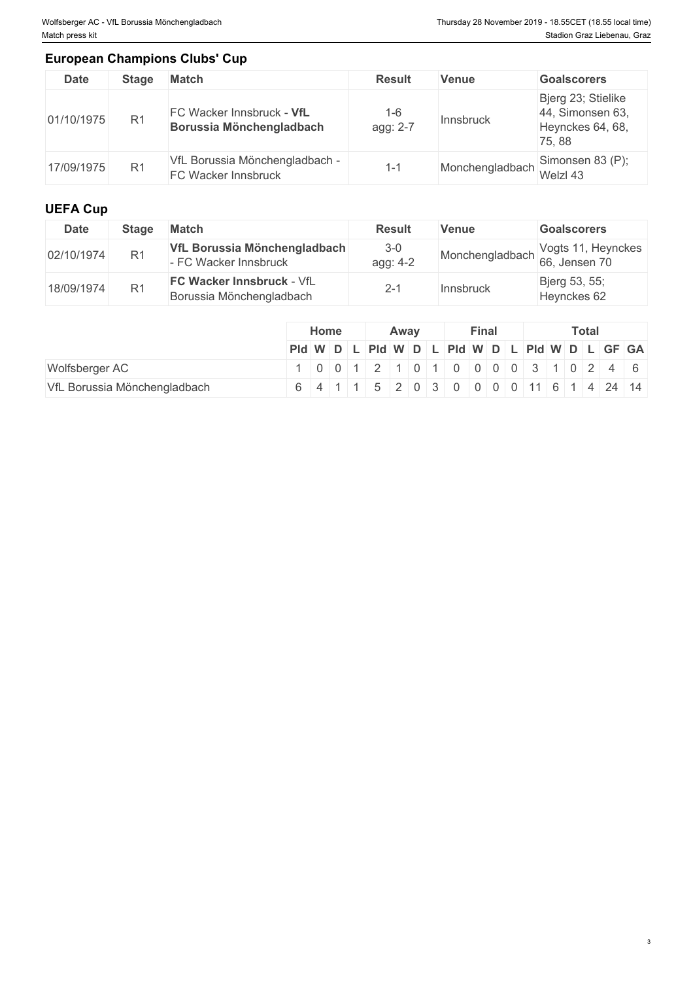### **European Champions Clubs' Cup**

| <b>Date</b> | <b>Stage</b>   | <b>Match</b>                                          | <b>Result</b>            | Venue                            | <b>Goalscorers</b>                                                  |
|-------------|----------------|-------------------------------------------------------|--------------------------|----------------------------------|---------------------------------------------------------------------|
| 01/10/1975  | R <sub>1</sub> | FC Wacker Innsbruck - VfL<br>Borussia Mönchengladbach | -6<br>agg: 2-7           | <b>Innsbruck</b>                 | Bjerg 23; Stielike<br>44, Simonsen 63,<br>Heynckes 64, 68,<br>75.88 |
| 17/09/1975  | R <sub>1</sub> | VfL Borussia Mönchengladbach -<br>FC Wacker Innsbruck | $\overline{\phantom{0}}$ | Monchengladbach Simonsen 83 (P); |                                                                     |

### **UEFA Cup**

| <b>Date</b> | Stage          | <b>Match</b>                                                 | <b>Result</b>     | <b>Venue</b> | <b>Goalscorers</b>                 |
|-------------|----------------|--------------------------------------------------------------|-------------------|--------------|------------------------------------|
| 02/10/1974  | R <sub>1</sub> | VfL Borussia Mönchengladbach<br>- FC Wacker Innsbruck        | $3-0$<br>agg: 4-2 |              | Monchengladbach Vogts 11, Heynckes |
| 18/09/1974  | R1             | <b>FC Wacker Innsbruck - VfL</b><br>Borussia Mönchengladbach | 2-1               | Innsbruck    | Bjerg 53, 55;<br>Heynckes 62       |

|                              | Home |  |  |                                                                         | Away | <b>Final</b> |  |  |  | <b>Total</b> |  |  |  |  |  |
|------------------------------|------|--|--|-------------------------------------------------------------------------|------|--------------|--|--|--|--------------|--|--|--|--|--|
|                              |      |  |  | PId WDLPId WDLPId WDLPId WDLPId WDLGF GA                                |      |              |  |  |  |              |  |  |  |  |  |
| Wolfsberger AC               |      |  |  | $1   0   0   1   2   1   0   1   0   0   0   0   3   1   0   2   4   6$ |      |              |  |  |  |              |  |  |  |  |  |
| VfL Borussia Mönchengladbach |      |  |  | 6 4 1 1 5 2 0 3 0 0 0 0 11 6 1 4 24 14                                  |      |              |  |  |  |              |  |  |  |  |  |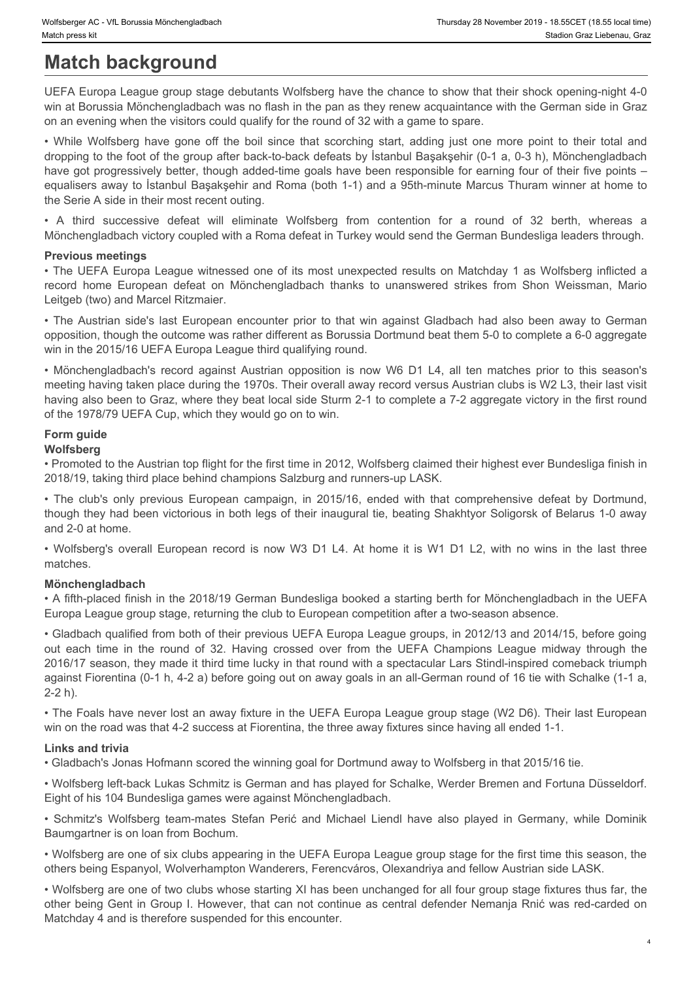# **Match background**

UEFA Europa League group stage debutants Wolfsberg have the chance to show that their shock opening-night 4-0 win at Borussia Mönchengladbach was no flash in the pan as they renew acquaintance with the German side in Graz on an evening when the visitors could qualify for the round of 32 with a game to spare.

Worksberger AC - VII. Borussia Monchengledbach<br>
Match background<br>
Welf-R Europa League group stage debutants Wolfsberg have the chance to show that their shock opening-night 4-0<br>
UEFA Europa League group stage debutants Wo dropping to the foot of the group after back-to-back defeats by İstanbul Başakşehir (0-1 a, 0-3 h), Mönchengladbach have got progressively better, though added-time goals have been responsible for earning four of their five points equalisers away to İstanbul Başakşehir and Roma (both 1-1) and a 95th-minute Marcus Thuram winner at home to the Serie A side in their most recent outing. Winteberg κ AC - VIL Borusala Monchengladbach<br> **Match Dackground**<br>
Watch Dackground<br>
WEFA Europa League group stage debutants Wolfsberg have the chance to show that their shock opening-night 4-0<br>
WEFA Europa League group Winterge AC-vit. Borusia Monemyladken many and the comparison of the comparison of the Simpler A Europe Lead Simpler (or the Comparign Comparign Comparign Acts of the Borusian Monchengladbach was no fash in the pan as they While pape MC - Vit. Buruars Montenged between the Constraines of the Multiple of the Austrian side of Constructions. Thus the Austrian Constructions and the Austrian Constructions and the Austrian Constructions and the A while precord with the control of the Matter of the CHI is now W6 D1 L4, all ten matches record and the SMC CHI is now One that the matches record and the CHI is now CHI LAT CHI is now CHI LAT CHI is now One to the CHI is -Makengu AC: v3 hurana knore-yiutamin<br>
The club **Dack Cground**<br> **UEFA** Europea League group slope debutants Wolfsberg have the chance to show that their shock opening-night 4-0<br>
UEFA Europea League group slope debutants **ENDERGY CENT CROWN CENT CROWN CENT CROWN CENT CROWN CENT CROWN CENT CROWN CENT CROWN CENT CROWN CENT CROWN CENT<br>
WINCOL DEACH CYPT Season group stage dobutants Wishing three this notice to show that their about copyring-**UFFA Europe League that we have the round of the round over the state of soliton in the right of the round of 32. Having crossed over the from the round over the round of 32. While the round over the from the round of 32.

Mönchengladbach victory coupled with a Roma defeat in Turkey would send the German Bundesliga leaders through.

### **Previous meetings**

• The UEFA Europa League witnessed one of its most unexpected results on Matchday 1 as Wolfsberg inflicted a Leitgeb (two) and Marcel Ritzmaier.

opposition, though the outcome was rather different as Borussia Dortmund beat them 5-0 to complete a 6-0 aggregate win in the 2015/16 UEFA Europa League third qualifying round.

meeting having taken place during the 1970s. Their overall away record versus Austrian clubs is W2 L3, their last visit having also been to Graz, where they beat local side Sturm 2-1 to complete a 7-2 aggregate victory in the first round of the 1978/79 UEFA Cup, which they would go on to win.

## **Form guide**

### **Wolfsberg**

• Promoted to the Austrian top flight for the first time in 2012, Wolfsberg claimed their highest ever Bundesliga finish in 2018/19, taking third place behind champions Salzburg and runners-up LASK.

though they had been victorious in both legs of their inaugural tie, beating Shakhtyor Soligorsk of Belarus 1-0 away and 2-0 at home.

matches.

### **Mönchengladbach**

• A fifth-placed finish in the 2018/19 German Bundesliga booked a starting berth for Mönchengladbach in the UEFA Europa League group stage, returning the club to European competition after a two-season absence.

• Gladbach qualified from both of their previous UEFA Europa League groups, in 2012/13 and 2014/15, before going 2016/17 season, they made it third time lucky in that round with a spectacular Lars Stindl-inspired comeback triumph against Fiorentina (0-1 h, 4-2 a) before going out on away goals in an all-German round of 16 tie with Schalke (1-1 a, 2-2 h). **Previous meetings** with the of all and the precise of results on Matchay 1 as Wolfsberg influences a<br>check none European detect on Morbertyalbach interact to unitawered stress from Short Westsman, Matro except<br>in the due

• The Foals have never lost an away fixture in the UEFA Europa League group stage (W2 D6). Their last European win on the road was that 4-2 success at Fiorentina, the three away fixtures since having all ended 1-1.

### **Links and trivia**

• Gladbach's Jonas Hofmann scored the winning goal for Dortmund away to Wolfsberg in that 2015/16 tie.

• Wolfsberg left-back Lukas Schmitz is German and has played for Schalke, Werder Bremen and Fortuna Düsseldorf. Eight of his 104 Bundesliga games were against Mönchengladbach.

Baumgartner is on loan from Bochum.

• Wolfsberg are one of six clubs appearing in the UEFA Europa League group stage for the first time this season, the others being Espanyol, Wolverhampton Wanderers, Ferencváros, Olexandriya and fellow Austrian side LASK.

• Wolfsberg are one of two clubs whose starting XI has been unchanged for all four group stage fixtures thus far, the other being Gent in Group I. However, that can not continue as central defender Nemanja Rnić was red-carded on Matchday 4 and is therefore suspended for this encounter.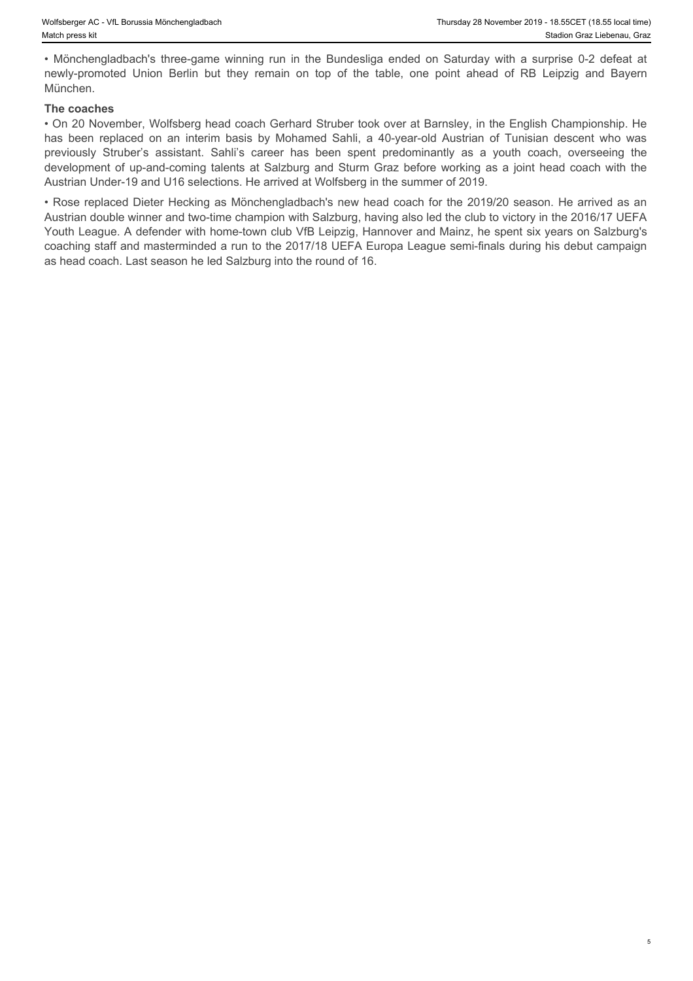München.

### **The coaches**

Fhursday 28 November 2019 - 18.55CET (18.55 local time)<br>
Match press kit<br>
• Mönchengladbach's three-game winning run in the Bundesliga ended on Saturday with a surprise 0-2 defeat at<br>
• Mönchengladbach's three-game winnin Nolfsberger AC - VIL Borussia Monchengladbach<br>
Match press kit<br>
• Mönchengladbach's three-game winning run in the Bundesliga ended on Saturday with a surprise 0-2 defeat at<br>
mewly-promoted Union Berlin but they remain on t • On 20 November, Wolfsberg head coach Gerhard Struber took over at Barnsley, in the English Championship. He Mortsberger AC - Vt. Bonusia Monchengladbash<br> **has been replaced on an interim basis by Morelengtan control on an interim basis by Morelengtan Crisis lice<br>
Munchen.<br>
Munchen.**<br> **Chase on an interim basis by Mohamed Sahli,** Nothberger AC - VIL Bonssia Monchengladbach<br>
Match press kit<br>
Monchengladbach's three-game winning run in the Bundesliga ended on Saturday with a surprise 0-2 defeat at<br>
Herewy-promoted Union Berlin but they remain on top development of up-and-coming talents at Salzburg and Sturm Graz before working as a joint head coach with the Austrian Under-19 and U16 selections. He arrived at Wolfsberg in the summer of 2019.

• Rose replaced Dieter Hecking as Mönchengladbach's new head coach for the 2019/20 season. He arrived as an Austrian double winner and two-time champion with Salzburg, having also led the club to victory in the 2016/17 UEFA Youth League. A defender with home-town club VfB Leipzig, Hannover and Mainz, he spent six years on Salzburg's coaching staff and masterminded a run to the 2017/18 UEFA Europa League semi-finals during his debut campaign as head coach. Last season he led Salzburg into the round of 16.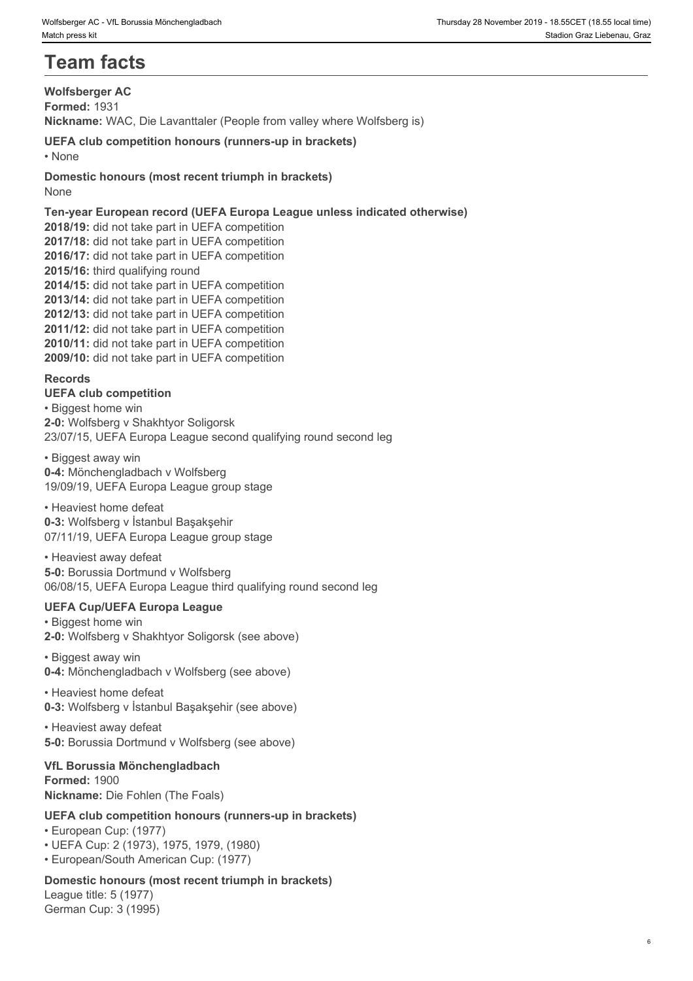# **Team facts**

**Wolfsberger AC Formed:** 1931 **Nickname:** WAC, Die Lavanttaler (People from valley where Wolfsberg is)

**UEFA club competition honours (runners-up in brackets)** • None **blue** and **blue** and **blue** and **blue** and **blue** and **blue** and **blue** and **blue** and **blue** and **blue** and **blue** and **blue** and **blue** and **blue** and **blue** and **blue** and **blue** and **blue** and **blue** and **blue** 

**Domestic honours (most recent triumph in brackets)** None when the contract of the contract of the contract of the contract of the contract of the contract of the contract of the contract of the contract of the contract of the contract of the contract of the contract of the

**Ten-year European record (UEFA Europa League unless indicated otherwise) 2018/19:** did not take part in UEFA competition **2017/18:** did not take part in UEFA competition **2016/17:** did not take part in UEFA competition **2015/16:** third qualifying round **2014/15:** did not take part in UEFA competition **2013/14:** did not take part in UEFA competition **2012/13:** did not take part in UEFA competition **2011/12:** did not take part in UEFA competition **2010/11:** did not take part in UEFA competition **2009/10:** did not take part in UEFA competition **Records**

**UEFA club competition** • Biggest home win **2-0:** Wolfsberg v Shakhtyor Soligorsk

23/07/15, UEFA Europa League second qualifying round second leg

• Biggest away win **0-4:** Mönchengladbach v Wolfsberg 19/09/19, UEFA Europa League group stage

• Heaviest home defeat **0-3:** Wolfsberg v İstanbul Başakşehir 07/11/19, UEFA Europa League group stage

• Heaviest away defeat **5-0:** Borussia Dortmund v Wolfsberg 06/08/15, UEFA Europa League third qualifying round second leg

### **UEFA Cup/UEFA Europa League**

• Biggest home win **2-0:** Wolfsberg v Shakhtyor Soligorsk (see above)

• Biggest away win **0-4:** Mönchengladbach v Wolfsberg (see above)

• Heaviest home defeat **0-3:** Wolfsberg v İstanbul Başakşehir (see above)

• Heaviest away defeat **5-0:** Borussia Dortmund v Wolfsberg (see above)

**VfL Borussia Mönchengladbach Formed:** 1900 **Nickname:** Die Fohlen (The Foals)

### **UEFA club competition honours (runners-up in brackets)**

• European Cup: (1977)

• UEFA Cup: 2 (1973), 1975, 1979, (1980)

• European/South American Cup: (1977)

### **Domestic honours (most recent triumph in brackets)**

League title: 5 (1977) German Cup: 3 (1995)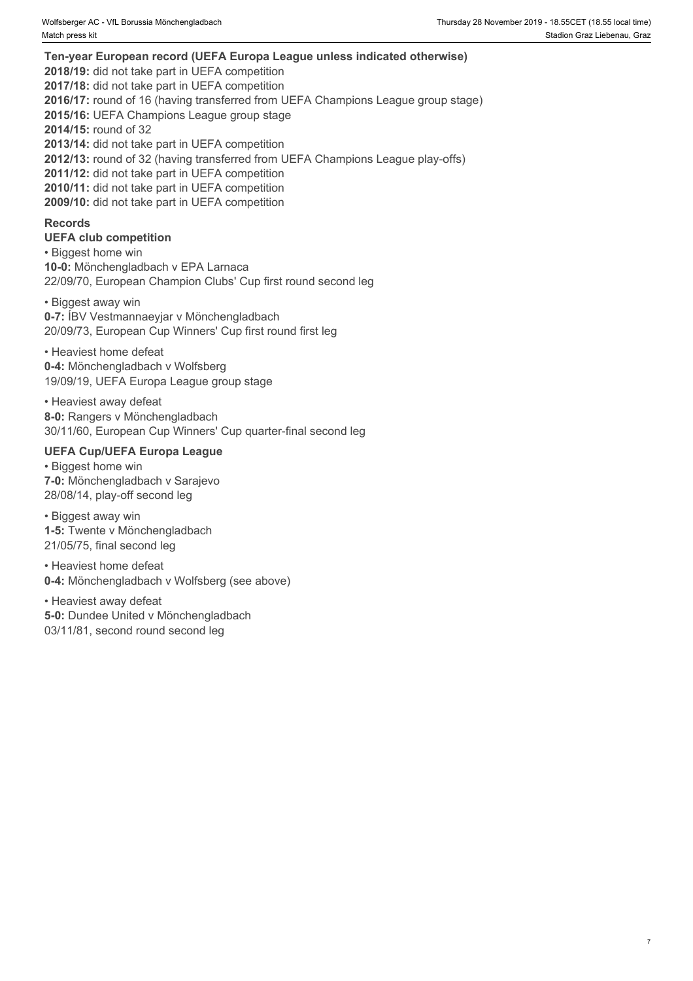**Ten-year European record (UEFA Europa League unless indicated otherwise) 2018/19:** did not take part in UEFA competition **2017/18:** did not take part in UEFA competition **2016/17:** round of 16 (having transferred from UEFA Champions League group stage) **2015/16:** UEFA Champions League group stage **2014/15:** round of 32 **2013/14:** did not take part in UEFA competition **2012/13:** round of 32 (having transferred from UEFA Champions League play-offs) **2011/12:** did not take part in UEFA competition **2010/11:** did not take part in UEFA competition **2009/10:** did not take part in UEFA competition

### **Records**

### **UEFA club competition**

• Biggest home win **10-0:** Mönchengladbach v EPA Larnaca 22/09/70, European Champion Clubs' Cup first round second leg

• Biggest away win **0-7:** ÍBV Vestmannaeyjar v Mönchengladbach 20/09/73, European Cup Winners' Cup first round first leg

• Heaviest home defeat **0-4:** Mönchengladbach v Wolfsberg 19/09/19, UEFA Europa League group stage

• Heaviest away defeat **8-0:** Rangers v Mönchengladbach 30/11/60, European Cup Winners' Cup quarter-final second leg

### **UEFA Cup/UEFA Europa League**

• Biggest home win **7-0:** Mönchengladbach v Sarajevo 28/08/14, play-off second leg

• Biggest away win **1-5:** Twente v Mönchengladbach 21/05/75, final second leg

• Heaviest home defeat **0-4:** Mönchengladbach v Wolfsberg (see above)

• Heaviest away defeat **5-0:** Dundee United v Mönchengladbach 03/11/81, second round second leg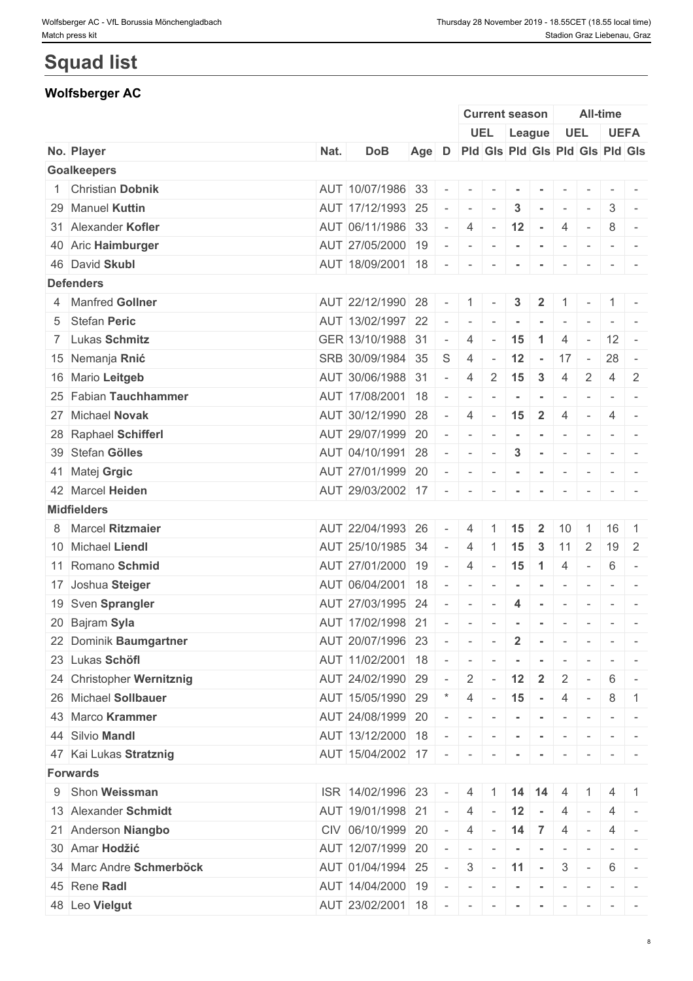# **Squad list**

### **Wolfsberger AC**

|                           |      |                                           |                                           |                |                                                                                                                                                                                                                                                                                                                                                                                                                                                           |                          | <b>Current season</b>                                            |                                                                                                                                                                                                                                                                                                                                                                                                                               |                          | <b>All-time</b>          |                                                                                                                                                                                                                                                                                                                                                                                                                                                                                        |                                                                                                                           |
|---------------------------|------|-------------------------------------------|-------------------------------------------|----------------|-----------------------------------------------------------------------------------------------------------------------------------------------------------------------------------------------------------------------------------------------------------------------------------------------------------------------------------------------------------------------------------------------------------------------------------------------------------|--------------------------|------------------------------------------------------------------|-------------------------------------------------------------------------------------------------------------------------------------------------------------------------------------------------------------------------------------------------------------------------------------------------------------------------------------------------------------------------------------------------------------------------------|--------------------------|--------------------------|----------------------------------------------------------------------------------------------------------------------------------------------------------------------------------------------------------------------------------------------------------------------------------------------------------------------------------------------------------------------------------------------------------------------------------------------------------------------------------------|---------------------------------------------------------------------------------------------------------------------------|
|                           |      |                                           |                                           |                |                                                                                                                                                                                                                                                                                                                                                                                                                                                           |                          |                                                                  | UEL League                                                                                                                                                                                                                                                                                                                                                                                                                    | <b>UEL</b>               |                          |                                                                                                                                                                                                                                                                                                                                                                                                                                                                                        | <b>UEFA</b>                                                                                                               |
| No. Player                | Nat. | <b>DoB</b>                                | Age D Pid Gis Pid Gis Pid Gis Pid Gis Age |                |                                                                                                                                                                                                                                                                                                                                                                                                                                                           |                          |                                                                  |                                                                                                                                                                                                                                                                                                                                                                                                                               |                          |                          |                                                                                                                                                                                                                                                                                                                                                                                                                                                                                        |                                                                                                                           |
| <b>Goalkeepers</b>        |      |                                           |                                           |                |                                                                                                                                                                                                                                                                                                                                                                                                                                                           |                          |                                                                  |                                                                                                                                                                                                                                                                                                                                                                                                                               |                          |                          |                                                                                                                                                                                                                                                                                                                                                                                                                                                                                        |                                                                                                                           |
| 1 Christian Dobnik        |      | AUT 10/07/1986 33                         |                                           | $\sim$         | $\mathcal{L}(\mathcal{L}^{\mathcal{L}}(\mathcal{L}^{\mathcal{L}}(\mathcal{L}^{\mathcal{L}}(\mathcal{L}^{\mathcal{L}}(\mathcal{L}^{\mathcal{L}}(\mathcal{L}^{\mathcal{L}}(\mathcal{L}^{\mathcal{L}}(\mathcal{L}^{\mathcal{L}}(\mathcal{L}^{\mathcal{L}}(\mathcal{L}^{\mathcal{L}}(\mathcal{L}^{\mathcal{L}}(\mathcal{L}^{\mathcal{L}}(\mathcal{L}^{\mathcal{L}}(\mathcal{L}^{\mathcal{L}}(\mathcal{L}^{\mathcal{L}}(\mathcal{L}^{\mathcal{L}}(\mathcal{L}$ |                          |                                                                  |                                                                                                                                                                                                                                                                                                                                                                                                                               |                          |                          |                                                                                                                                                                                                                                                                                                                                                                                                                                                                                        |                                                                                                                           |
| 29 Manuel Kuttin          |      | AUT 17/12/1993 25                         |                                           | $\sim$         | $\sim$                                                                                                                                                                                                                                                                                                                                                                                                                                                    | $\sim$                   | $\mathbf{3}$                                                     |                                                                                                                                                                                                                                                                                                                                                                                                                               | $\sim$                   | $\sim$                   |                                                                                                                                                                                                                                                                                                                                                                                                                                                                                        | $3 -$                                                                                                                     |
| 31 Alexander Kofler       |      | AUT 06/11/1986 33                         |                                           | $\sim$         | $\overline{4}$                                                                                                                                                                                                                                                                                                                                                                                                                                            | $\sim$                   | 12                                                               | $\sim$ $-$                                                                                                                                                                                                                                                                                                                                                                                                                    | $\overline{4}$           | $\sim$                   | 8                                                                                                                                                                                                                                                                                                                                                                                                                                                                                      |                                                                                                                           |
| 40 Aric Haimburger        |      | AUT 27/05/2000 19 - - - - - - - - -       |                                           |                |                                                                                                                                                                                                                                                                                                                                                                                                                                                           |                          |                                                                  |                                                                                                                                                                                                                                                                                                                                                                                                                               |                          |                          |                                                                                                                                                                                                                                                                                                                                                                                                                                                                                        | $ -$                                                                                                                      |
| 46 David Skubl            |      | AUT 18/09/2001 18 -                       |                                           |                | $\sim$                                                                                                                                                                                                                                                                                                                                                                                                                                                    | $\sim$                   | $\sim$                                                           | $\sim$                                                                                                                                                                                                                                                                                                                                                                                                                        | $\sim$                   | $\sim$                   |                                                                                                                                                                                                                                                                                                                                                                                                                                                                                        |                                                                                                                           |
| <b>Defenders</b>          |      |                                           |                                           |                |                                                                                                                                                                                                                                                                                                                                                                                                                                                           |                          |                                                                  |                                                                                                                                                                                                                                                                                                                                                                                                                               |                          |                          |                                                                                                                                                                                                                                                                                                                                                                                                                                                                                        |                                                                                                                           |
| 4 Manfred Gollner         |      | AUT 22/12/1990 28                         |                                           | $\sim$         | 11                                                                                                                                                                                                                                                                                                                                                                                                                                                        | $\sim$                   | 3                                                                | $\mathbf{2}$                                                                                                                                                                                                                                                                                                                                                                                                                  | $\mathbf{1}$             |                          |                                                                                                                                                                                                                                                                                                                                                                                                                                                                                        |                                                                                                                           |
| 5 Stefan Peric            |      | AUT 13/02/1997 22                         |                                           | $\sim$         | $\sim$                                                                                                                                                                                                                                                                                                                                                                                                                                                    | $\sim$                   | $\sim$                                                           | $\sim$                                                                                                                                                                                                                                                                                                                                                                                                                        | $\sim$                   |                          |                                                                                                                                                                                                                                                                                                                                                                                                                                                                                        | $\frac{1}{2} \left( \frac{1}{2} \right) \left( \frac{1}{2} \right) \left( \frac{1}{2} \right) \left( \frac{1}{2} \right)$ |
| 7 Lukas Schmitz           |      | GER 13/10/1988 31                         |                                           | $\sim$         | $\overline{4}$                                                                                                                                                                                                                                                                                                                                                                                                                                            | $\sim$                   | 15                                                               | $\overline{1}$                                                                                                                                                                                                                                                                                                                                                                                                                | 4                        | $\sim$                   | $12 -$                                                                                                                                                                                                                                                                                                                                                                                                                                                                                 |                                                                                                                           |
| 15 Nemanja Rnić           |      | SRB 30/09/1984 35                         |                                           |                | $S \mid 4$                                                                                                                                                                                                                                                                                                                                                                                                                                                | $\sim$                   |                                                                  | $12 - 17 -$                                                                                                                                                                                                                                                                                                                                                                                                                   |                          |                          | $28 -$                                                                                                                                                                                                                                                                                                                                                                                                                                                                                 |                                                                                                                           |
| 16 Mario Leitgeb          |      | AUT 30/06/1988 31                         |                                           | $\sim$         | $\overline{4}$                                                                                                                                                                                                                                                                                                                                                                                                                                            |                          | $2 \mid 15 \mid 3$                                               |                                                                                                                                                                                                                                                                                                                                                                                                                               | $\overline{4}$           | $\overline{2}$           |                                                                                                                                                                                                                                                                                                                                                                                                                                                                                        | $4 \mid 2$                                                                                                                |
| 25 Fabian Tauchhammer     |      | AUT 17/08/2001 18                         |                                           | $\sim$         | $\sim$                                                                                                                                                                                                                                                                                                                                                                                                                                                    |                          |                                                                  |                                                                                                                                                                                                                                                                                                                                                                                                                               | $\sim$                   | $\overline{\phantom{a}}$ |                                                                                                                                                                                                                                                                                                                                                                                                                                                                                        | $\sim$ 100 $\sim$                                                                                                         |
| 27 Michael Novak          |      | AUT 30/12/1990 28                         |                                           | $\sim$         | $\overline{4}$                                                                                                                                                                                                                                                                                                                                                                                                                                            | $\sim$                   | 15                                                               | $\vert$ 2                                                                                                                                                                                                                                                                                                                                                                                                                     | $\overline{4}$           | $\sim$                   | 4                                                                                                                                                                                                                                                                                                                                                                                                                                                                                      |                                                                                                                           |
| 28 Raphael Schifferl      |      | AUT 29/07/1999 20                         |                                           | $\sim$         | $\sim$ $\sim$ $\sim$ $\sim$ $\sim$                                                                                                                                                                                                                                                                                                                                                                                                                        |                          |                                                                  | $-1$ $-1$                                                                                                                                                                                                                                                                                                                                                                                                                     |                          | $\sim$                   |                                                                                                                                                                                                                                                                                                                                                                                                                                                                                        | $\mathcal{L} = \mathcal{L} \times \mathcal{L} = \mathcal{L} \times \mathcal{L}$                                           |
| 39 Stefan Gölles          |      | AUT 04/10/1991 28                         |                                           | $\sim$         | $\sim$                                                                                                                                                                                                                                                                                                                                                                                                                                                    | $\mathbf{r}$             | $\mathbf{3}$                                                     | $\sim$                                                                                                                                                                                                                                                                                                                                                                                                                        | $\sim$                   | $\sim$                   |                                                                                                                                                                                                                                                                                                                                                                                                                                                                                        | $\sim$ 100 $\sim$ 100 $\sim$                                                                                              |
| 41 Matej Grgic            |      | AUT 27/01/1999 20                         |                                           | $\sim$         | $\sim$                                                                                                                                                                                                                                                                                                                                                                                                                                                    | $\sim$ $-$               | $\sim$                                                           | $\sim$                                                                                                                                                                                                                                                                                                                                                                                                                        | $\sim$                   |                          |                                                                                                                                                                                                                                                                                                                                                                                                                                                                                        |                                                                                                                           |
| 42 Marcel Heiden          |      | AUT 29/03/2002 17 - -                     |                                           |                |                                                                                                                                                                                                                                                                                                                                                                                                                                                           | $\sim$                   | $\sim$                                                           | $\sim$                                                                                                                                                                                                                                                                                                                                                                                                                        | $\sim$                   | $\sim$                   |                                                                                                                                                                                                                                                                                                                                                                                                                                                                                        | $ -$                                                                                                                      |
| <b>Midfielders</b>        |      |                                           |                                           |                |                                                                                                                                                                                                                                                                                                                                                                                                                                                           |                          |                                                                  |                                                                                                                                                                                                                                                                                                                                                                                                                               |                          |                          |                                                                                                                                                                                                                                                                                                                                                                                                                                                                                        |                                                                                                                           |
| 8 Marcel Ritzmaier        |      | AUT 22/04/1993 26                         |                                           |                | 4                                                                                                                                                                                                                                                                                                                                                                                                                                                         |                          | 15                                                               | $\mathbf{2}$                                                                                                                                                                                                                                                                                                                                                                                                                  | 10                       |                          | 16                                                                                                                                                                                                                                                                                                                                                                                                                                                                                     |                                                                                                                           |
| 10 Michael Liendl         |      | AUT 25/10/1985 34                         |                                           | $\sim$         | $\overline{4}$                                                                                                                                                                                                                                                                                                                                                                                                                                            | $\mathbf{1}$             | 15                                                               | $\mathbf{3}$                                                                                                                                                                                                                                                                                                                                                                                                                  | 11                       | $\overline{2}$           | $19 \mid 2$                                                                                                                                                                                                                                                                                                                                                                                                                                                                            |                                                                                                                           |
| 11 Romano Schmid          |      | AUT 27/01/2000 19                         |                                           | $\sim$         | $\overline{4}$                                                                                                                                                                                                                                                                                                                                                                                                                                            |                          |                                                                  | $- 15$ 1                                                                                                                                                                                                                                                                                                                                                                                                                      | $\overline{4}$           | $\sim$                   | 6                                                                                                                                                                                                                                                                                                                                                                                                                                                                                      | $\sim$                                                                                                                    |
| 17 Joshua Steiger         |      | AUT 06/04/2001 18                         |                                           | $\sim$         | $\overline{\phantom{a}}$                                                                                                                                                                                                                                                                                                                                                                                                                                  | $\sim$                   | $\sim$                                                           | $\sim$                                                                                                                                                                                                                                                                                                                                                                                                                        | $\overline{\phantom{a}}$ |                          |                                                                                                                                                                                                                                                                                                                                                                                                                                                                                        |                                                                                                                           |
| 19 Sven Sprangler         |      | AUT 27/03/1995 24                         |                                           | $\sim$         | $\sim$                                                                                                                                                                                                                                                                                                                                                                                                                                                    | $\overline{\phantom{a}}$ | $\overline{4}$                                                   | $\sim$                                                                                                                                                                                                                                                                                                                                                                                                                        | $\overline{\phantom{a}}$ | $\overline{\phantom{a}}$ |                                                                                                                                                                                                                                                                                                                                                                                                                                                                                        |                                                                                                                           |
| 20 Bajram Syla            |      | AUT 17/02/1998 21 - - - - - - - - - - - - |                                           |                |                                                                                                                                                                                                                                                                                                                                                                                                                                                           |                          |                                                                  |                                                                                                                                                                                                                                                                                                                                                                                                                               |                          |                          |                                                                                                                                                                                                                                                                                                                                                                                                                                                                                        |                                                                                                                           |
| 22 Dominik Baumgartner    |      | AUT 20/07/1996 23 - - - - 2 - - - - -     |                                           |                |                                                                                                                                                                                                                                                                                                                                                                                                                                                           |                          |                                                                  |                                                                                                                                                                                                                                                                                                                                                                                                                               |                          |                          |                                                                                                                                                                                                                                                                                                                                                                                                                                                                                        |                                                                                                                           |
| 23 Lukas Schöfl           |      | AUT 11/02/2001 18                         |                                           |                |                                                                                                                                                                                                                                                                                                                                                                                                                                                           |                          |                                                                  |                                                                                                                                                                                                                                                                                                                                                                                                                               |                          |                          |                                                                                                                                                                                                                                                                                                                                                                                                                                                                                        |                                                                                                                           |
|                           |      |                                           |                                           | $\sim$ $ \sim$ | $\sim$                                                                                                                                                                                                                                                                                                                                                                                                                                                    |                          |                                                                  | $\sim$                                                                                                                                                                                                                                                                                                                                                                                                                        | $\sim$                   |                          |                                                                                                                                                                                                                                                                                                                                                                                                                                                                                        |                                                                                                                           |
| 24 Christopher Wernitznig |      | AUT 24/02/1990 29 -                       |                                           |                | $2$ -                                                                                                                                                                                                                                                                                                                                                                                                                                                     |                          | $12$ 2                                                           |                                                                                                                                                                                                                                                                                                                                                                                                                               | $\overline{2}$           | $\sim$                   | 6                                                                                                                                                                                                                                                                                                                                                                                                                                                                                      | $\sim$                                                                                                                    |
| 26 Michael Sollbauer      |      | AUT 15/05/1990 29                         |                                           |                | $*$ 4 - 15 -                                                                                                                                                                                                                                                                                                                                                                                                                                              |                          |                                                                  |                                                                                                                                                                                                                                                                                                                                                                                                                               | $4$ -                    |                          |                                                                                                                                                                                                                                                                                                                                                                                                                                                                                        | $8 \mid 1$                                                                                                                |
| 43 Marco Krammer          |      | AUT 24/08/1999 20 - -                     |                                           |                |                                                                                                                                                                                                                                                                                                                                                                                                                                                           |                          | $\mathcal{L} = \{ \mathcal{L} \mid \mathcal{L} = \mathcal{L} \}$ | $\label{eq:3.1} \begin{array}{cccccccccc} \text{1} & \text{1} & \text{1} & \text{1} & \text{1} & \text{1} & \text{1} & \text{1} & \text{1} & \text{1} & \text{1} & \text{1} & \text{1} & \text{1} & \text{1} & \text{1} & \text{1} & \text{1} & \text{1} & \text{1} & \text{1} & \text{1} & \text{1} & \text{1} & \text{1} & \text{1} & \text{1} & \text{1} & \text{1} & \text{1} & \text{1} & \text{1} & \text{1} & \text{1$ |                          |                          |                                                                                                                                                                                                                                                                                                                                                                                                                                                                                        |                                                                                                                           |
| 44 Silvio Mandl           |      | AUT 13/12/2000 18 -                       |                                           |                | .                                                                                                                                                                                                                                                                                                                                                                                                                                                         |                          |                                                                  |                                                                                                                                                                                                                                                                                                                                                                                                                               |                          | $\sim$                   |                                                                                                                                                                                                                                                                                                                                                                                                                                                                                        |                                                                                                                           |
| 47 Kai Lukas Stratznig    |      | $AUT$ 15/04/2002 17 - - - - - - - -       |                                           |                |                                                                                                                                                                                                                                                                                                                                                                                                                                                           |                          |                                                                  |                                                                                                                                                                                                                                                                                                                                                                                                                               |                          |                          |                                                                                                                                                                                                                                                                                                                                                                                                                                                                                        | $\mathcal{L} = \{ \mathcal{L} \mid \mathcal{L} = \mathcal{L} \}$                                                          |
| <b>Forwards</b>           |      |                                           |                                           |                |                                                                                                                                                                                                                                                                                                                                                                                                                                                           |                          |                                                                  |                                                                                                                                                                                                                                                                                                                                                                                                                               |                          |                          |                                                                                                                                                                                                                                                                                                                                                                                                                                                                                        |                                                                                                                           |
| 9 Shon Weissman           |      | ISR 14/02/1996 23                         |                                           | $\sim$ $-$     | 4 1 14 14 4                                                                                                                                                                                                                                                                                                                                                                                                                                               |                          |                                                                  |                                                                                                                                                                                                                                                                                                                                                                                                                               |                          |                          | 4                                                                                                                                                                                                                                                                                                                                                                                                                                                                                      |                                                                                                                           |
| 13 Alexander Schmidt      |      | AUT 19/01/1998 21                         |                                           |                | $-4$ $-12$ $-$                                                                                                                                                                                                                                                                                                                                                                                                                                            |                          |                                                                  |                                                                                                                                                                                                                                                                                                                                                                                                                               | $4 -$                    |                          |                                                                                                                                                                                                                                                                                                                                                                                                                                                                                        | $4 -$                                                                                                                     |
| 21 Anderson Niangbo       |      | CIV 06/10/1999 20                         |                                           |                | $-$ 4 - 14 7                                                                                                                                                                                                                                                                                                                                                                                                                                              |                          |                                                                  |                                                                                                                                                                                                                                                                                                                                                                                                                               | $4 -$                    |                          |                                                                                                                                                                                                                                                                                                                                                                                                                                                                                        | $4 -$                                                                                                                     |
| 30 Amar Hodžić            |      | AUT 12/07/1999 20                         |                                           | $\sim$         | $\sim$                                                                                                                                                                                                                                                                                                                                                                                                                                                    |                          | $\sim$                                                           | $\sim$                                                                                                                                                                                                                                                                                                                                                                                                                        | $\overline{\phantom{a}}$ | $\sim$                   |                                                                                                                                                                                                                                                                                                                                                                                                                                                                                        |                                                                                                                           |
| 34 Marc Andre Schmerböck  |      | AUT 01/04/1994 25 -                       |                                           |                |                                                                                                                                                                                                                                                                                                                                                                                                                                                           |                          |                                                                  | $3 \cdot   -   11   -   3   -$                                                                                                                                                                                                                                                                                                                                                                                                |                          |                          |                                                                                                                                                                                                                                                                                                                                                                                                                                                                                        | $6 -$                                                                                                                     |
| 45 Rene Radl              |      | AUT 14/04/2000 19                         |                                           | $\sim$         | $\sim$                                                                                                                                                                                                                                                                                                                                                                                                                                                    |                          |                                                                  | .                                                                                                                                                                                                                                                                                                                                                                                                                             |                          |                          | $\begin{array}{cccccccccccccc} \multicolumn{2}{c}{} & \multicolumn{2}{c}{} & \multicolumn{2}{c}{} & \multicolumn{2}{c}{} & \multicolumn{2}{c}{} & \multicolumn{2}{c}{} & \multicolumn{2}{c}{} & \multicolumn{2}{c}{} & \multicolumn{2}{c}{} & \multicolumn{2}{c}{} & \multicolumn{2}{c}{} & \multicolumn{2}{c}{} & \multicolumn{2}{c}{} & \multicolumn{2}{c}{} & \multicolumn{2}{c}{} & \multicolumn{2}{c}{} & \multicolumn{2}{c}{} & \multicolumn{2}{c}{} & \multicolumn{2}{c}{} & \$ |                                                                                                                           |
| 48 Leo Vielgut            |      | $AUT$ 23/02/2001 18 -                     |                                           |                |                                                                                                                                                                                                                                                                                                                                                                                                                                                           | $\mathbf{r}$             | $\sim$                                                           | $\sim$                                                                                                                                                                                                                                                                                                                                                                                                                        | $\sim$                   | $\sim$                   |                                                                                                                                                                                                                                                                                                                                                                                                                                                                                        | $\sim$ 100 $\sim$                                                                                                         |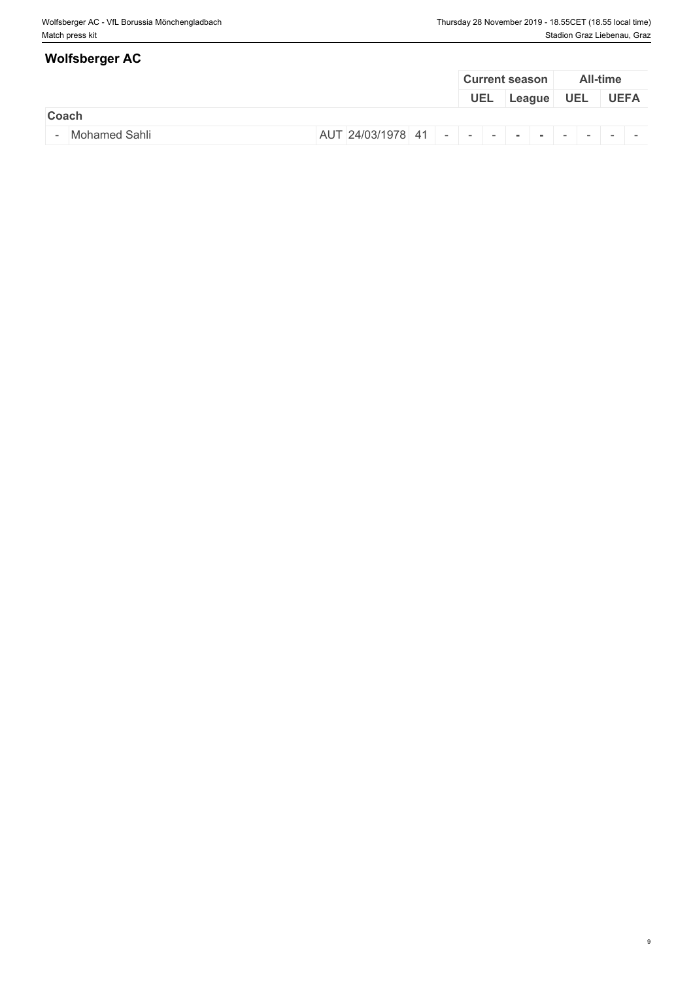# **Coach Coach Coach Coach Coach Coach Coach <b>Coach Coach Coach** - Mohamed Sahli AUT 24/03/1978 <sup>41</sup> - - - **- -** - - - - **Wolfsberger AC Current season All-time UEL League UEL UEFA**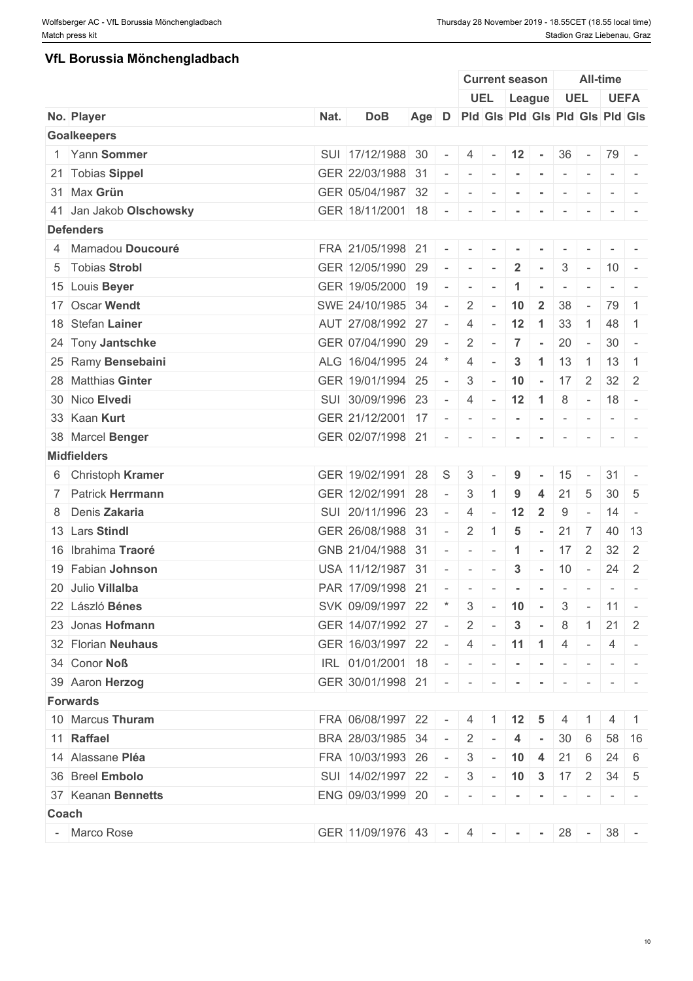### **VfL Borussia Mönchengladbach**

|              |                         |      |                                       |       |                          |                          |                                                                                                                                                                                                                                                                                                                                                                                                                                                                                        | <b>Current season</b>     |                 |                          |                 | <b>All-time</b>    |                                                                                   |
|--------------|-------------------------|------|---------------------------------------|-------|--------------------------|--------------------------|----------------------------------------------------------------------------------------------------------------------------------------------------------------------------------------------------------------------------------------------------------------------------------------------------------------------------------------------------------------------------------------------------------------------------------------------------------------------------------------|---------------------------|-----------------|--------------------------|-----------------|--------------------|-----------------------------------------------------------------------------------|
|              |                         |      |                                       |       |                          |                          |                                                                                                                                                                                                                                                                                                                                                                                                                                                                                        | UEL League                |                 | UEL                      |                 |                    | <b>UEFA</b>                                                                       |
|              | No. Player              | Nat. | <b>DoB</b>                            | Age D |                          |                          |                                                                                                                                                                                                                                                                                                                                                                                                                                                                                        |                           |                 |                          |                 |                    | Pid Gis Pid Gis Pid Gis Pid Gis                                                   |
|              | <b>Goalkeepers</b>      |      |                                       |       |                          |                          |                                                                                                                                                                                                                                                                                                                                                                                                                                                                                        |                           |                 |                          |                 |                    |                                                                                   |
|              | 1 Yann Sommer           |      | SUI 17/12/1988 30                     |       | $\sim$                   |                          |                                                                                                                                                                                                                                                                                                                                                                                                                                                                                        | $4$ - 12 - 36 - 79 -      |                 |                          |                 |                    |                                                                                   |
|              | 21 Tobias Sippel        |      | GER 22/03/1988 31                     |       |                          | $\overline{\phantom{a}}$ | $\sim$                                                                                                                                                                                                                                                                                                                                                                                                                                                                                 |                           |                 | $\overline{\phantom{a}}$ | $\sim$          |                    |                                                                                   |
|              | 31 Max Grün             |      | GER 05/04/1987 32                     |       |                          | $\overline{\phantom{a}}$ |                                                                                                                                                                                                                                                                                                                                                                                                                                                                                        |                           |                 |                          |                 |                    |                                                                                   |
|              | 41 Jan Jakob Olschowsky |      | GER 18/11/2001 18 - -                 |       |                          |                          | $\sim$                                                                                                                                                                                                                                                                                                                                                                                                                                                                                 | $\sim$                    | $\sim$          | $\sim$                   | $\sim$          | $-$                |                                                                                   |
|              | <b>Defenders</b>        |      |                                       |       |                          |                          |                                                                                                                                                                                                                                                                                                                                                                                                                                                                                        |                           |                 |                          |                 |                    |                                                                                   |
|              | 4 Mamadou Doucouré      |      | FRA 21/05/1998 21                     |       |                          |                          |                                                                                                                                                                                                                                                                                                                                                                                                                                                                                        |                           |                 |                          |                 |                    |                                                                                   |
|              | 5 Tobias Strobl         |      | GER 12/05/1990 29                     |       | $\overline{\phantom{a}}$ | $\overline{\phantom{a}}$ |                                                                                                                                                                                                                                                                                                                                                                                                                                                                                        | $\overline{2}$            |                 | 3                        | $\sim$          | $10 -$             |                                                                                   |
|              | 15 Louis Beyer          |      | GER 19/05/2000 19                     |       | $\sim$                   | $\sim$                   |                                                                                                                                                                                                                                                                                                                                                                                                                                                                                        | $\mathbf 1$               | $\sim$          | $\sim$                   | $\sim$          |                    | $-1$ $-$                                                                          |
|              | 17 Oscar Wendt          |      | SWE 24/10/1985 34                     |       | $\overline{a}$           | $\overline{2}$           |                                                                                                                                                                                                                                                                                                                                                                                                                                                                                        | 10                        | $\overline{2}$  | 38                       | $\sim$          | 79 1               |                                                                                   |
|              | 18 Stefan Lainer        |      | AUT 27/08/1992 27                     |       | $\sim$                   | $\overline{4}$           |                                                                                                                                                                                                                                                                                                                                                                                                                                                                                        | 12                        | $\overline{1}$  | 33                       | $\overline{1}$  | 48 1               |                                                                                   |
|              | 24 Tony Jantschke       |      | GER 07/04/1990 29                     |       |                          | $\overline{2}$           |                                                                                                                                                                                                                                                                                                                                                                                                                                                                                        | $\overline{7}$            | $\sim$          | 20                       | $\sim 10^{-10}$ | $30 -$             |                                                                                   |
|              | 25 Ramy Bensebaini      |      | ALG 16/04/1995 24                     |       |                          | $\overline{4}$           |                                                                                                                                                                                                                                                                                                                                                                                                                                                                                        | $\mathbf{3}$              | $\vert$ 1       | 13                       |                 | $1 \mid 13 \mid 1$ |                                                                                   |
|              | 28 Matthias Ginter      |      | GER 19/01/1994 25                     |       | $\overline{a}$           | 3                        | $\overline{\phantom{a}}$                                                                                                                                                                                                                                                                                                                                                                                                                                                               | 10                        | $\sim$          | 17                       | $\overline{2}$  | $32 \mid 2$        |                                                                                   |
|              | 30 Nico Elvedi          |      | SUI 30/09/1996 23                     |       | $\sim$                   |                          |                                                                                                                                                                                                                                                                                                                                                                                                                                                                                        | $4 - 12$ 1                |                 |                          |                 | $8 - 18 -$         |                                                                                   |
|              | 33 Kaan Kurt            |      | GER 21/12/2001 17                     |       |                          | $\overline{\phantom{a}}$ |                                                                                                                                                                                                                                                                                                                                                                                                                                                                                        |                           |                 | $\sim$                   | $\sim$          |                    |                                                                                   |
|              | 38 Marcel Benger        |      | GER 02/07/1998 21                     |       | $\sim$                   | $\overline{\phantom{a}}$ |                                                                                                                                                                                                                                                                                                                                                                                                                                                                                        |                           |                 |                          |                 |                    |                                                                                   |
|              | <b>Midfielders</b>      |      |                                       |       |                          |                          |                                                                                                                                                                                                                                                                                                                                                                                                                                                                                        |                           |                 |                          |                 |                    |                                                                                   |
|              |                         |      |                                       |       |                          |                          |                                                                                                                                                                                                                                                                                                                                                                                                                                                                                        |                           |                 |                          |                 |                    |                                                                                   |
|              | 6 Christoph Kramer      |      | GER 19/02/1991                        | 28    | S                        | 3                        |                                                                                                                                                                                                                                                                                                                                                                                                                                                                                        | 9                         |                 | 15                       |                 | $31 -$             |                                                                                   |
|              | 7 Patrick Herrmann      |      | GER 12/02/1991                        | 28    | $\overline{a}$           | 3                        |                                                                                                                                                                                                                                                                                                                                                                                                                                                                                        | 9                         | 4               | 21                       | 5               | $30 \mid 5$        |                                                                                   |
|              | 8 Denis Zakaria         |      | SUI 20/11/1996 23                     |       | $\sim$                   | 4                        |                                                                                                                                                                                                                                                                                                                                                                                                                                                                                        | 12                        | $\overline{2}$  | 9                        | $\sim$          | $14 -$             |                                                                                   |
|              | 13 Lars Stindl          |      | GER 26/08/1988 31                     |       |                          | $\overline{2}$           |                                                                                                                                                                                                                                                                                                                                                                                                                                                                                        | 5                         | $\blacksquare$  | 21                       | $\overline{7}$  | $40 \mid 13$       |                                                                                   |
|              | 16 Ibrahima Traoré      |      | GNB 21/04/1988                        | 31    | $\sim$                   | $\sim$                   | $\sim$                                                                                                                                                                                                                                                                                                                                                                                                                                                                                 | $\blacktriangleleft$      | $\sim$          | 17                       | 2               | $32 \mid 2$        |                                                                                   |
|              | 19 Fabian Johnson       |      | USA 11/12/1987 31                     |       |                          | $\sim$                   |                                                                                                                                                                                                                                                                                                                                                                                                                                                                                        | 3                         | $\sim$ 10 $\pm$ | 10                       | $\sim$ $-$      | $24 \quad 2$       |                                                                                   |
|              | 20 Julio Villalba       |      | PAR 17/09/1998 21                     |       |                          | $\sim$                   | $\sim$                                                                                                                                                                                                                                                                                                                                                                                                                                                                                 | $\sim$                    | $\sim$          | $\sim$                   | $\sim$          |                    | $\frac{1}{2} \left( \frac{1}{2} \right) \left( \frac{1}{2} \right) = \frac{1}{2}$ |
|              | 22 László Bénes         |      | SVK 09/09/1997 22                     |       | $\mathbf{r}$             |                          |                                                                                                                                                                                                                                                                                                                                                                                                                                                                                        | $3 - 10 -$                |                 |                          |                 | $3 - 11 -$         |                                                                                   |
|              | 23 Jonas Hofmann        |      | GER 14/07/1992 27 -                   |       |                          | $-2$                     |                                                                                                                                                                                                                                                                                                                                                                                                                                                                                        | $\mathbf{3}$              | $\sim$          | 8                        |                 | 21                 | -2                                                                                |
|              | 32 Florian Neuhaus      |      | GER 16/03/1997 22 - 4 - 11 1 4 -      |       |                          |                          |                                                                                                                                                                                                                                                                                                                                                                                                                                                                                        |                           |                 |                          |                 |                    | 4 -                                                                               |
|              | 34 Conor Noß            |      | IRL 01/01/2001 18 -                   |       |                          | $\sim$                   | $\begin{array}{cccccccccccccc} \multicolumn{2}{c}{} & \multicolumn{2}{c}{} & \multicolumn{2}{c}{} & \multicolumn{2}{c}{} & \multicolumn{2}{c}{} & \multicolumn{2}{c}{} & \multicolumn{2}{c}{} & \multicolumn{2}{c}{} & \multicolumn{2}{c}{} & \multicolumn{2}{c}{} & \multicolumn{2}{c}{} & \multicolumn{2}{c}{} & \multicolumn{2}{c}{} & \multicolumn{2}{c}{} & \multicolumn{2}{c}{} & \multicolumn{2}{c}{} & \multicolumn{2}{c}{} & \multicolumn{2}{c}{} & \multicolumn{2}{c}{} & \$ |                           | $\sim$          | $-$                      |                 |                    |                                                                                   |
|              | 39 Aaron Herzog         |      | GER 30/01/1998 21 -                   |       |                          | $\sim$                   |                                                                                                                                                                                                                                                                                                                                                                                                                                                                                        |                           |                 |                          |                 |                    |                                                                                   |
|              | <b>Forwards</b>         |      |                                       |       |                          |                          |                                                                                                                                                                                                                                                                                                                                                                                                                                                                                        |                           |                 |                          |                 |                    |                                                                                   |
|              | 10 Marcus Thuram        |      | FRA 06/08/1997 22 -                   |       |                          |                          |                                                                                                                                                                                                                                                                                                                                                                                                                                                                                        | $4 \mid 1 \mid 12 \mid 5$ |                 |                          |                 |                    | $\blacksquare$                                                                    |
|              | 11 Raffael              |      | BRA 28/03/1985 34                     |       | $\sim$ $-$               | $2^{\circ}$              |                                                                                                                                                                                                                                                                                                                                                                                                                                                                                        | 4                         |                 | 30                       | 6               |                    | $58 \mid 16$                                                                      |
|              | 14 Alassane Pléa        |      | FRA 10/03/1993 26 -                   |       |                          |                          |                                                                                                                                                                                                                                                                                                                                                                                                                                                                                        | $3 - 10$ 4                |                 | $21 \quad 6$             |                 | $24 \quad 6$       |                                                                                   |
|              | 36 Breel Embolo         |      | SUI 14/02/1997 22                     |       | $\sim$                   |                          |                                                                                                                                                                                                                                                                                                                                                                                                                                                                                        | $3 - 10$ 3 17 2           |                 |                          |                 | $34 \quad 5$       |                                                                                   |
|              | 37 Keanan Bennetts      |      | ENG 09/03/1999 20                     |       | $\sim$                   | $\sim$                   |                                                                                                                                                                                                                                                                                                                                                                                                                                                                                        |                           |                 |                          | $\sim$          |                    | $\mathcal{L} = \{ \mathcal{L} \mid \mathcal{L} = \mathcal{L} \}$                  |
| <b>Coach</b> |                         |      |                                       |       |                          |                          |                                                                                                                                                                                                                                                                                                                                                                                                                                                                                        |                           |                 |                          |                 |                    |                                                                                   |
|              | - Marco Rose            |      | GER 11/09/1976 43 - 4 - - - 28 - 38 - |       |                          |                          |                                                                                                                                                                                                                                                                                                                                                                                                                                                                                        |                           |                 |                          |                 |                    |                                                                                   |
|              |                         |      |                                       |       |                          |                          |                                                                                                                                                                                                                                                                                                                                                                                                                                                                                        |                           |                 |                          |                 |                    |                                                                                   |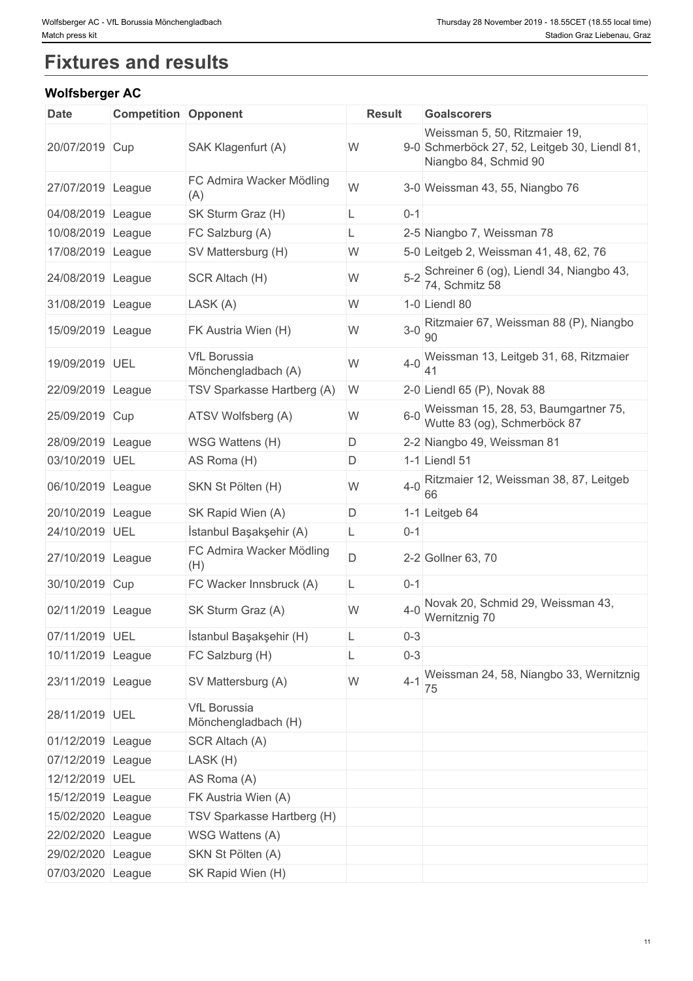# **Fixtures and results**

### **Wolfsberger AC**

| <b>Date</b>       | <b>Competition Opponent</b> |                                            | <b>Result</b> | <b>Goalscorers</b>                                                     |
|-------------------|-----------------------------|--------------------------------------------|---------------|------------------------------------------------------------------------|
|                   |                             |                                            |               | Weissman 5, 50, Ritzmaier 19,                                          |
| 20/07/2019 Cup    |                             | SAK Klagenfurt (A)                         | W             | 9-0 Schmerböck 27, 52, Leitgeb 30, Liendl 81,<br>Niangbo 84, Schmid 90 |
| 27/07/2019 League |                             | FC Admira Wacker Mödling<br>(A)            | W             | 3-0 Weissman 43, 55, Niangbo 76                                        |
| 04/08/2019 League |                             | SK Sturm Graz (H)                          | $0 - 1$<br>L  |                                                                        |
| 10/08/2019 League |                             | FC Salzburg (A)                            | L             | 2-5 Niangbo 7, Weissman 78                                             |
| 17/08/2019 League |                             | SV Mattersburg (H)                         | W             | 5-0 Leitgeb 2, Weissman 41, 48, 62, 76                                 |
| 24/08/2019 League |                             | SCR Altach (H)                             | $5 - 2$<br>W  | Schreiner 6 (og), Liendl 34, Niangbo 43,<br>74, Schmitz 58             |
| 31/08/2019 League |                             | LASK (A)                                   | W             | 1-0 Liendl 80                                                          |
| 15/09/2019 League |                             | FK Austria Wien (H)                        | W             | 3-0 Ritzmaier 67, Weissman 88 (P), Niangbo<br>90                       |
| 19/09/2019 UEL    |                             | <b>VfL Borussia</b><br>Mönchengladbach (A) | $4-0$<br>W    | Weissman 13, Leitgeb 31, 68, Ritzmaier                                 |
| 22/09/2019 League |                             | TSV Sparkasse Hartberg (A)                 | W             | 2-0 Liendl 65 (P), Novak 88                                            |
| 25/09/2019 Cup    |                             | ATSV Wolfsberg (A)                         | $6 - 0$<br>W  | Weissman 15, 28, 53, Baumgartner 75,<br>Wutte 83 (og), Schmerböck 87   |
| 28/09/2019 League |                             | WSG Wattens (H)                            | D             | 2-2 Niangbo 49, Weissman 81                                            |
| 03/10/2019 UEL    |                             | AS Roma (H)                                | D             | 1-1 Liendl 51                                                          |
| 06/10/2019 League |                             | SKN St Pölten (H)                          | W             | 4-0 Ritzmaier 12, Weissman 38, 87, Leitgeb<br>66                       |
| 20/10/2019 League |                             | SK Rapid Wien (A)                          | D             | 1-1 Leitgeb 64                                                         |
| 24/10/2019 UEL    |                             | İstanbul Başakşehir (A)                    | L.<br>$0 - 1$ |                                                                        |
| 27/10/2019 League |                             | FC Admira Wacker Mödling<br>(H)            | D             | 2-2 Gollner 63, 70                                                     |
| 30/10/2019 Cup    |                             | FC Wacker Innsbruck (A)                    | $0 - 1$<br>L. |                                                                        |
| 02/11/2019 League |                             | SK Sturm Graz (A)                          | W<br>$4 - 0$  | Novak 20, Schmid 29, Weissman 43,<br>Wernitznig 70                     |
| 07/11/2019 UEL    |                             | İstanbul Başakşehir (H)                    | $0 - 3$<br>L  |                                                                        |
| 10/11/2019 League |                             | FC Salzburg (H)                            | $0 - 3$<br>L  |                                                                        |
| 23/11/2019 League |                             | SV Mattersburg (A)                         | $4 - 1$<br>W  | Weissman 24, 58, Niangbo 33, Wernitznig<br>75                          |
| 28/11/2019 UEL    |                             | <b>VfL Borussia</b><br>Mönchengladbach (H) |               |                                                                        |
| 01/12/2019 League |                             | SCR Altach (A)                             |               |                                                                        |
| 07/12/2019 League |                             | LASK (H)                                   |               |                                                                        |
| 12/12/2019 UEL    |                             | AS Roma (A)                                |               |                                                                        |
| 15/12/2019 League |                             | FK Austria Wien (A)                        |               |                                                                        |
| 15/02/2020 League |                             | TSV Sparkasse Hartberg (H)                 |               |                                                                        |
| 22/02/2020 League |                             | WSG Wattens (A)                            |               |                                                                        |
| 29/02/2020 League |                             | SKN St Pölten (A)                          |               |                                                                        |
| 07/03/2020 League |                             | SK Rapid Wien (H)                          |               |                                                                        |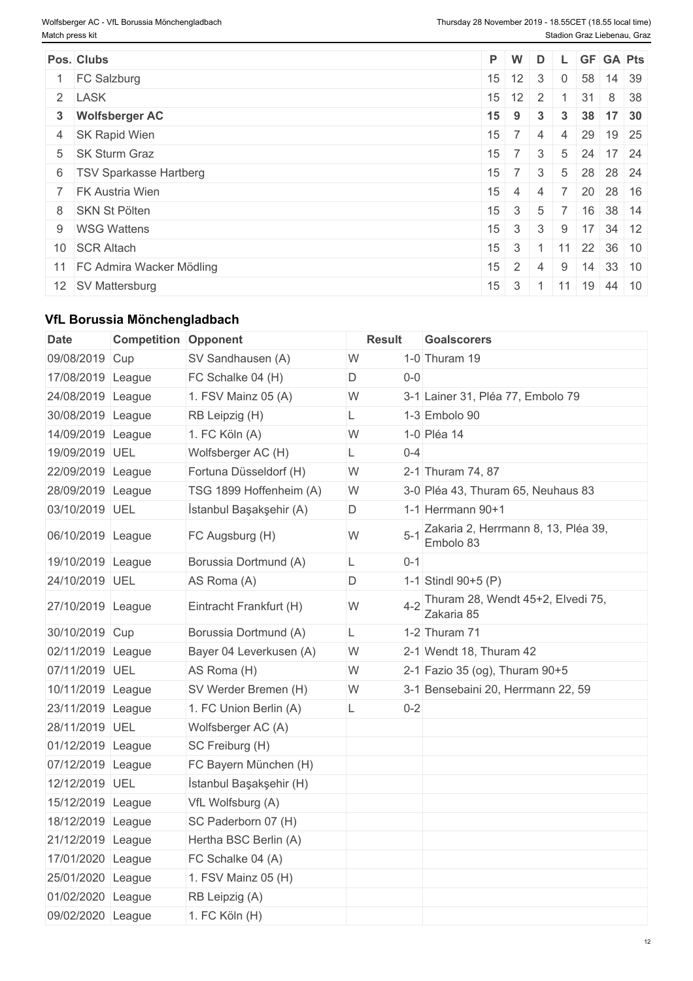| Pos. Clubs                  | $P$ W           |                      | D                          |                |    |                                                   | L GF GA Pts                                       |
|-----------------------------|-----------------|----------------------|----------------------------|----------------|----|---------------------------------------------------|---------------------------------------------------|
| <b>FC Salzburg</b>          |                 | $15 \mid 12 \mid 3$  |                            | $\overline{0}$ | 58 |                                                   | 14 39                                             |
| 2 LASK                      |                 | $15 \mid 12 \mid 2$  |                            |                | 31 | $8 \overline{38}$                                 |                                                   |
| 3 Wolfsberger AC            |                 | $15$ 9               | 3 <sup>1</sup>             |                |    |                                                   | $3 \mid 38 \mid 17 \mid 30$                       |
| 4 SK Rapid Wien             |                 | $15 \mid 7 \mid 4$   |                            |                |    |                                                   | $4 \t29 \t19 \t25$                                |
| 5 SK Sturm Graz             |                 |                      |                            |                |    | $15 \mid 7 \mid 3 \mid 5 \mid 24 \mid 17 \mid 24$ |                                                   |
| 6   TSV Sparkasse Hartberg  | 15              | 7 <sup>1</sup>       | 3 <sup>1</sup>             |                |    |                                                   | 5 28 28 24                                        |
| 7 FK Austria Wien           | 15 <sup>1</sup> | $-4$                 | 4                          |                |    |                                                   | 7 20 28 16                                        |
| 8 SKN St Pölten             |                 | $15 \quad 3 \quad 5$ |                            |                |    | $7 \mid 16 \mid 38 \mid 14$                       |                                                   |
| 9 WSG Wattens               |                 |                      |                            |                |    |                                                   | $15 \mid 3 \mid 3 \mid 9 \mid 17 \mid 34 \mid 12$ |
| 10 SCR Altach               |                 |                      | $15 \mid 3 \mid 1 \mid 11$ |                |    |                                                   | 22 36 10                                          |
| 11 FC Admira Wacker Mödling | 15              | 2 <sup>1</sup>       | 4                          |                |    |                                                   | $9 \mid 14 \mid 33 \mid 10$                       |
| 12 SV Mattersburg           |                 |                      | $15 \mid 3 \mid 1 \mid 11$ |                |    |                                                   | $19 \mid 44 \mid 10$                              |

### **VfL Borussia Mönchengladbach**

| Date              | <b>Competition Opponent</b> |                         | <b>Result</b> |         | <b>Goalscorers</b>                                  |  |
|-------------------|-----------------------------|-------------------------|---------------|---------|-----------------------------------------------------|--|
| 09/08/2019 Cup    |                             | SV Sandhausen (A)       | W             |         | 1-0 Thuram 19                                       |  |
| 17/08/2019 League |                             | FC Schalke 04 (H)       | D             | $0-0$   |                                                     |  |
| 24/08/2019 League |                             | 1. FSV Mainz 05 (A)     | W             |         | 3-1 Lainer 31, Pléa 77, Embolo 79                   |  |
| 30/08/2019 League |                             | RB Leipzig (H)          | L             |         | 1-3 Embolo 90                                       |  |
| 14/09/2019 League |                             | 1. FC Köln (A)          | W             |         | 1-0 Pléa 14                                         |  |
| 19/09/2019 UEL    |                             | Wolfsberger AC (H)      | L             | $0 - 4$ |                                                     |  |
| 22/09/2019 League |                             | Fortuna Düsseldorf (H)  | W             |         | 2-1 Thuram 74, 87                                   |  |
| 28/09/2019 League |                             | TSG 1899 Hoffenheim (A) | W             |         | 3-0 Pléa 43, Thuram 65, Neuhaus 83                  |  |
| 03/10/2019 UEL    |                             | İstanbul Başakşehir (A) | D             |         | 1-1 Herrmann $90+1$                                 |  |
| 06/10/2019 League |                             | FC Augsburg (H)         | W             | $5 - 1$ | Zakaria 2, Herrmann 8, 13, Pléa 39,<br>Embolo 83    |  |
| 19/10/2019 League |                             | Borussia Dortmund (A)   | L             | $0 - 1$ |                                                     |  |
| 24/10/2019 UEL    |                             | AS Roma (A)             | D             |         | 1-1 Stindl 90+5 (P)                                 |  |
| 27/10/2019 League |                             | Eintracht Frankfurt (H) | W             |         | 4-2 Thuram 28, Wendt 45+2, Elvedi 75,<br>Zakaria 85 |  |
| 30/10/2019 Cup    |                             | Borussia Dortmund (A)   | L             |         | 1-2 Thuram 71                                       |  |
| 02/11/2019 League |                             | Bayer 04 Leverkusen (A) | W             |         | 2-1 Wendt 18, Thuram 42                             |  |
| 07/11/2019 UEL    |                             | AS Roma (H)             | W             |         | 2-1 Fazio 35 (og), Thuram 90+5                      |  |
| 10/11/2019 League |                             | SV Werder Bremen (H)    | W             |         | 3-1 Bensebaini 20, Herrmann 22, 59                  |  |
| 23/11/2019 League |                             | 1. FC Union Berlin (A)  | L             | $0 - 2$ |                                                     |  |
| 28/11/2019 UEL    |                             | Wolfsberger AC (A)      |               |         |                                                     |  |
| 01/12/2019 League |                             | SC Freiburg (H)         |               |         |                                                     |  |
| 07/12/2019 League |                             | FC Bayern München (H)   |               |         |                                                     |  |
| 12/12/2019 UEL    |                             | İstanbul Başakşehir (H) |               |         |                                                     |  |
| 15/12/2019 League |                             | VfL Wolfsburg (A)       |               |         |                                                     |  |
| 18/12/2019 League |                             | SC Paderborn 07 (H)     |               |         |                                                     |  |
| 21/12/2019 League |                             | Hertha BSC Berlin (A)   |               |         |                                                     |  |
| 17/01/2020 League |                             | FC Schalke 04 (A)       |               |         |                                                     |  |
| 25/01/2020 League |                             | 1. FSV Mainz 05 (H)     |               |         |                                                     |  |
| 01/02/2020 League |                             | RB Leipzig (A)          |               |         |                                                     |  |
| 09/02/2020 League |                             | 1. FC Köln (H)          |               |         |                                                     |  |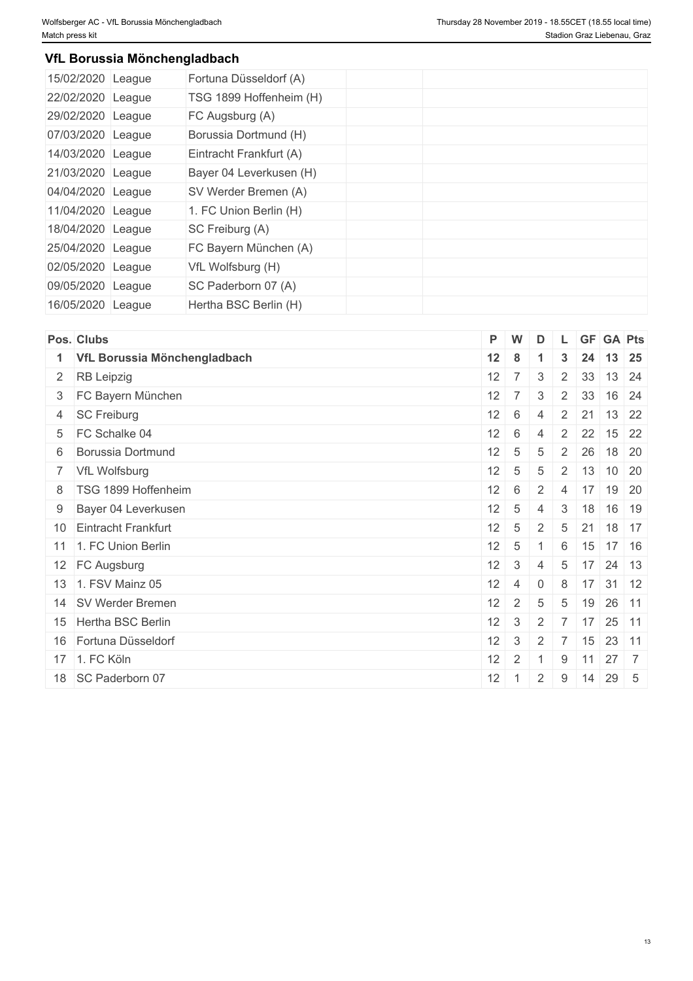### **VfL Borussia Mönchengladbach**

| 15/02/2020 | League | Fortuna Düsseldorf (A)  |  |  |  |
|------------|--------|-------------------------|--|--|--|
| 22/02/2020 | League | TSG 1899 Hoffenheim (H) |  |  |  |
| 29/02/2020 | League | FC Augsburg (A)         |  |  |  |
| 07/03/2020 | League | Borussia Dortmund (H)   |  |  |  |
| 14/03/2020 | League | Eintracht Frankfurt (A) |  |  |  |
| 21/03/2020 | League | Bayer 04 Leverkusen (H) |  |  |  |
| 04/04/2020 | League | SV Werder Bremen (A)    |  |  |  |
| 11/04/2020 | League | 1. FC Union Berlin (H)  |  |  |  |
| 18/04/2020 | League | SC Freiburg (A)         |  |  |  |
| 25/04/2020 | League | FC Bayern München (A)   |  |  |  |
| 02/05/2020 | League | VfL Wolfsburg (H)       |  |  |  |
| 09/05/2020 | League | SC Paderborn 07 (A)     |  |  |  |
| 16/05/2020 | League | Hertha BSC Berlin (H)   |  |  |  |

|                                                                                                                                                                                                                                                                                                                                                                                                                                 |                                                          | D                                                                                                                                     |                                                |    |                            |                                                                                                                                                              |
|---------------------------------------------------------------------------------------------------------------------------------------------------------------------------------------------------------------------------------------------------------------------------------------------------------------------------------------------------------------------------------------------------------------------------------|----------------------------------------------------------|---------------------------------------------------------------------------------------------------------------------------------------|------------------------------------------------|----|----------------------------|--------------------------------------------------------------------------------------------------------------------------------------------------------------|
|                                                                                                                                                                                                                                                                                                                                                                                                                                 |                                                          |                                                                                                                                       | $\mathbf{3}$                                   | 24 |                            | $13 \mid 25$                                                                                                                                                 |
|                                                                                                                                                                                                                                                                                                                                                                                                                                 |                                                          | $\mathbf{3}$                                                                                                                          | $\overline{2}$                                 | 33 |                            | 13 24                                                                                                                                                        |
|                                                                                                                                                                                                                                                                                                                                                                                                                                 |                                                          | 3                                                                                                                                     | $\overline{2}$                                 |    |                            | 16 24                                                                                                                                                        |
|                                                                                                                                                                                                                                                                                                                                                                                                                                 |                                                          | $\overline{4}$                                                                                                                        |                                                |    |                            |                                                                                                                                                              |
|                                                                                                                                                                                                                                                                                                                                                                                                                                 |                                                          | $\overline{4}$                                                                                                                        |                                                |    |                            |                                                                                                                                                              |
|                                                                                                                                                                                                                                                                                                                                                                                                                                 | $5\overline{)}$                                          | $\overline{5}$                                                                                                                        |                                                |    |                            |                                                                                                                                                              |
|                                                                                                                                                                                                                                                                                                                                                                                                                                 | 5                                                        | 5                                                                                                                                     |                                                |    |                            |                                                                                                                                                              |
|                                                                                                                                                                                                                                                                                                                                                                                                                                 | 6                                                        | 2                                                                                                                                     | $\overline{4}$                                 | 17 |                            | 19 20                                                                                                                                                        |
|                                                                                                                                                                                                                                                                                                                                                                                                                                 | 5                                                        | 4                                                                                                                                     | 3                                              | 18 |                            | 16 19                                                                                                                                                        |
|                                                                                                                                                                                                                                                                                                                                                                                                                                 |                                                          | 2                                                                                                                                     | 5                                              | 21 |                            | 18 17                                                                                                                                                        |
|                                                                                                                                                                                                                                                                                                                                                                                                                                 |                                                          |                                                                                                                                       | 6                                              |    |                            | 17 16                                                                                                                                                        |
|                                                                                                                                                                                                                                                                                                                                                                                                                                 |                                                          | $\overline{4}$                                                                                                                        | 5                                              | 17 |                            | 24 13                                                                                                                                                        |
|                                                                                                                                                                                                                                                                                                                                                                                                                                 | $\overline{4}$                                           | $\mathbf 0$                                                                                                                           | 8                                              | 17 |                            | $31 \mid 12$                                                                                                                                                 |
|                                                                                                                                                                                                                                                                                                                                                                                                                                 | 2                                                        | 5                                                                                                                                     | 5                                              |    |                            | 26 11                                                                                                                                                        |
|                                                                                                                                                                                                                                                                                                                                                                                                                                 | 3                                                        | 2                                                                                                                                     |                                                |    |                            |                                                                                                                                                              |
|                                                                                                                                                                                                                                                                                                                                                                                                                                 | 3                                                        | 2                                                                                                                                     |                                                |    |                            |                                                                                                                                                              |
|                                                                                                                                                                                                                                                                                                                                                                                                                                 |                                                          |                                                                                                                                       | 9                                              |    |                            |                                                                                                                                                              |
|                                                                                                                                                                                                                                                                                                                                                                                                                                 |                                                          |                                                                                                                                       |                                                |    |                            | 29 5                                                                                                                                                         |
| Pos. Clubs<br>1 VfL Borussia Mönchengladbach<br>2 RB Leipzig<br>3 FC Bayern München<br>4 SC Freiburg<br>5 FC Schalke 04<br>6 Borussia Dortmund<br>7 VfL Wolfsburg<br>8   TSG 1899 Hoffenheim<br>9 Bayer 04 Leverkusen<br>10 Eintracht Frankfurt<br>11 1. FC Union Berlin<br>12 FC Augsburg<br>13 1. FSV Mainz 05<br>14 SV Werder Bremen<br>15 Hertha BSC Berlin<br>16 Fortuna Düsseldorf<br>17 1. FC Köln<br>18 SC Paderborn 07 | 12<br>12<br>12<br>12<br>12<br>12<br>12<br>12<br>12<br>12 | P W<br>$12 \quad 8$<br>$12 \mid 7 \mid$<br>$12 \mid 7$<br>$12 \quad 6$<br>$12 \quad 6$<br>$12 \quad 5$<br>$12 \quad 5$<br>$12 \mid 3$ | $2 \mid 1$<br>$\overline{2}$<br>1 <sup>1</sup> |    | $2 \quad 21$<br>$-7$<br>11 | L GF GA Pts<br>33<br>2 22 15 22<br>$2 \mid 26 \mid 18 \mid 20$<br>$2 \mid 13 \mid 10 \mid 20$<br>15<br>19<br>$17$ 25 11<br>7 15 23 11<br>27 7<br>$9 \mid 14$ |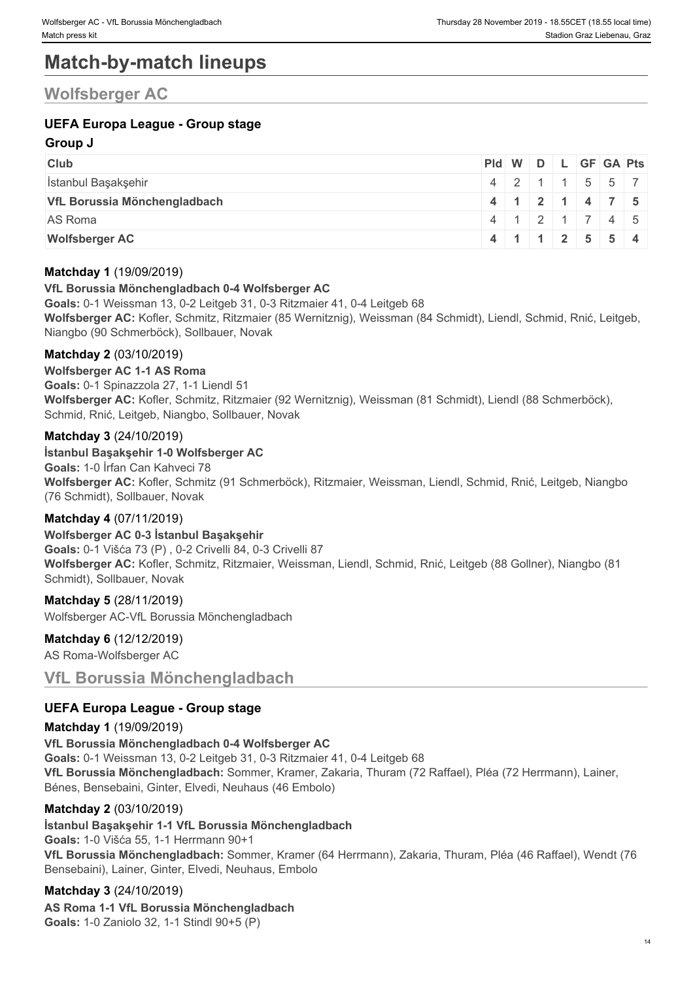# **Match-by-match lineups**

### **Wolfsberger AC**

### **UEFA Europa League - Group stage**

### **Group J**

| <b>Club</b>                  | Pid W D L GF GA Pts |  |  |                                                    |  |
|------------------------------|---------------------|--|--|----------------------------------------------------|--|
| İstanbul Başakşehir          |                     |  |  | $4$   2   1   1   5   5   7                        |  |
| VfL Borussia Mönchengladbach |                     |  |  | 4   1   2   1   4   7   5                          |  |
| AS Roma                      |                     |  |  | $4 \mid 1 \mid 2 \mid 1 \mid 7 \mid 4 \mid 5 \mid$ |  |
| <b>Wolfsberger AC</b>        |                     |  |  | $4 \mid 1 \mid 1 \mid 2 \mid 5 \mid 5 \mid 4$      |  |

### **Matchday 1** (19/09/2019)

### **VfL Borussia Mönchengladbach 0-4 Wolfsberger AC**

**Goals:** 0-1 Weissman 13, 0-2 Leitgeb 31, 0-3 Ritzmaier 41, 0-4 Leitgeb 68 **Wolfsberger AC:** Kofler, Schmitz, Ritzmaier (85 Wernitznig), Weissman (84 Schmidt), Liendl, Schmid, Rnić, Leitgeb, Niangbo (90 Schmerböck), Sollbauer, Novak

### **Matchday 2** (03/10/2019)

### **Wolfsberger AC 1-1 AS Roma**

**Goals:** 0-1 Spinazzola 27, 1-1 Liendl 51 **Wolfsberger AC:** Kofler, Schmitz, Ritzmaier (92 Wernitznig), Weissman (81 Schmidt), Liendl (88 Schmerböck), Schmid, Rnić, Leitgeb, Niangbo, Sollbauer, Novak

### **Matchday 3** (24/10/2019)

### **İstanbul Başakşehir 1-0 Wolfsberger AC**

**Goals:** 1-0 İrfan Can Kahveci 78 **Wolfsberger AC:** Kofler, Schmitz (91 Schmerböck), Ritzmaier, Weissman, Liendl, Schmid, Rnić, Leitgeb, Niangbo (76 Schmidt), Sollbauer, Novak

### **Matchday 4** (07/11/2019)

### **Wolfsberger AC 0-3 İstanbul Başakşehir**

**Goals:** 0-1 Višća 73 (P) , 0-2 Crivelli 84, 0-3 Crivelli 87 **Wolfsberger AC:** Kofler, Schmitz, Ritzmaier, Weissman, Liendl, Schmid, Rnić, Leitgeb (88 Gollner), Niangbo (81 Schmidt), Sollbauer, Novak

### **Matchday 5** (28/11/2019)

Wolfsberger AC-VfL Borussia Mönchengladbach

### **Matchday 6** (12/12/2019)

AS Roma-Wolfsberger AC

### **VfL Borussia Mönchengladbach**

### **UEFA Europa League - Group stage**

### **Matchday 1** (19/09/2019)

**VfL Borussia Mönchengladbach 0-4 Wolfsberger AC Goals:** 0-1 Weissman 13, 0-2 Leitgeb 31, 0-3 Ritzmaier 41, 0-4 Leitgeb 68 **VfL Borussia Mönchengladbach:** Sommer, Kramer, Zakaria, Thuram (72 Raffael), Pléa (72 Herrmann), Lainer, Bénes, Bensebaini, Ginter, Elvedi, Neuhaus (46 Embolo)

### **Matchday 2** (03/10/2019)

### **İstanbul Başakşehir 1-1 VfL Borussia Mönchengladbach**

**Goals:** 1-0 Višća 55, 1-1 Herrmann 90+1 **VfL Borussia Mönchengladbach:** Sommer, Kramer (64 Herrmann), Zakaria, Thuram, Pléa (46 Raffael), Wendt (76 Bensebaini), Lainer, Ginter, Elvedi, Neuhaus, Embolo

### **Matchday 3** (24/10/2019)

**AS Roma 1-1 VfL Borussia Mönchengladbach Goals:** 1-0 Zaniolo 32, 1-1 Stindl 90+5 (P)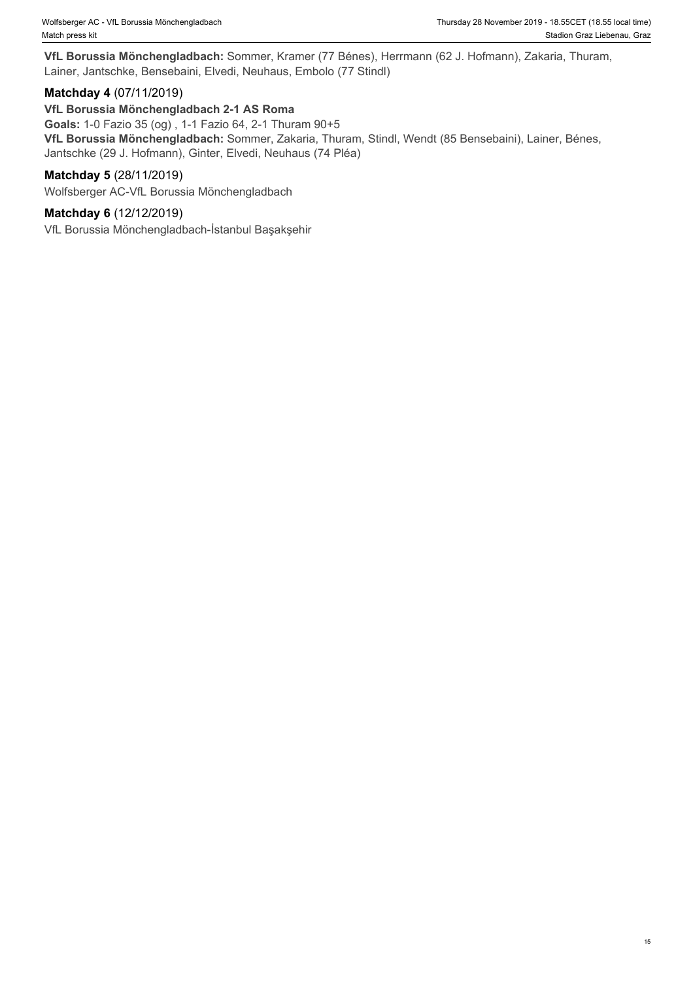**VfL Borussia Mönchengladbach:** Sommer, Kramer (77 Bénes), Herrmann (62 J. Hofmann), Zakaria, Thuram, Lainer, Jantschke, Bensebaini, Elvedi, Neuhaus, Embolo (77 Stindl)

### **Matchday 4** (07/11/2019)

### **VfL Borussia Mönchengladbach 2-1 AS Roma**

**Goals:** 1-0 Fazio 35 (og) , 1-1 Fazio 64, 2-1 Thuram 90+5 **VfL Borussia Mönchengladbach:** Sommer, Zakaria, Thuram, Stindl, Wendt (85 Bensebaini), Lainer, Bénes, Jantschke (29 J. Hofmann), Ginter, Elvedi, Neuhaus (74 Pléa)

### **Matchday 5** (28/11/2019)

Wolfsberger AC-VfL Borussia Mönchengladbach

### **Matchday 6** (12/12/2019)

VfL Borussia Mönchengladbach-İstanbul Başakşehir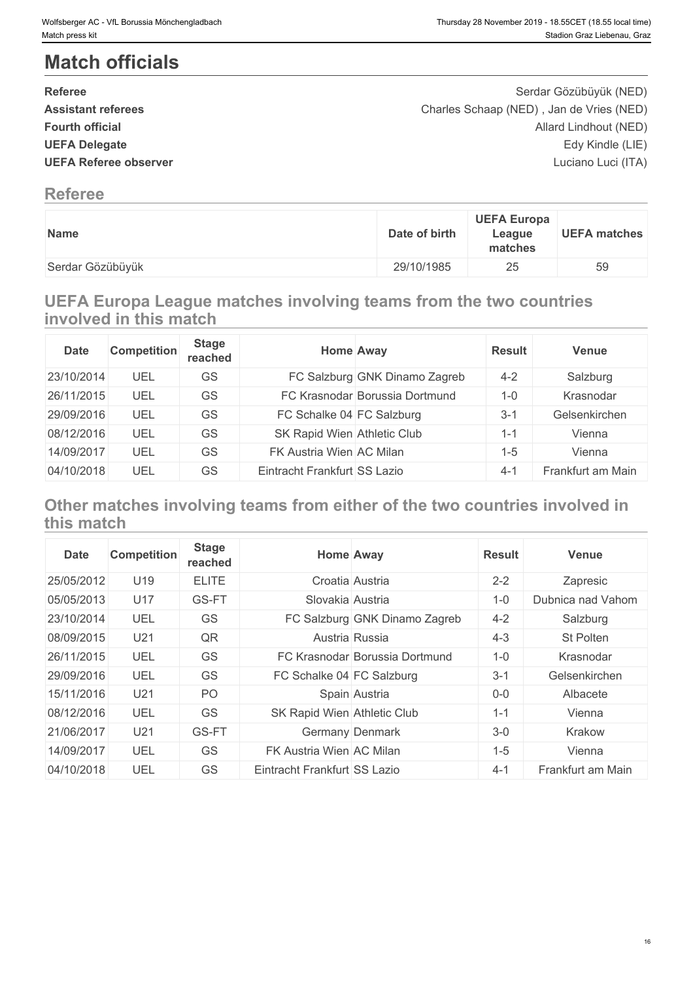# **Match officials**

| <b>Referee</b>               | Serdar Gözübüyük (NED)                   |  |
|------------------------------|------------------------------------------|--|
| <b>Assistant referees</b>    | Charles Schaap (NED), Jan de Vries (NED) |  |
| <b>Fourth official</b>       | Allard Lindhout (NED)                    |  |
| <b>UEFA Delegate</b>         | Edy Kindle (LIE)                         |  |
| <b>UEFA Referee observer</b> | Luciano Luci (ITA)                       |  |
| <b>Referee</b>               |                                          |  |

| <b>Name</b>      | <b>UEFA Europa</b><br>Date of birth<br>League<br>matches |
|------------------|----------------------------------------------------------|
| Serdar Gözübüyük | 29/10/1985<br>つに<br>∠J                                   |

### **UEFA Europa League matches involving teams from the two countries involved in this match**

| <b>Date</b> | <b>Competition</b> | <b>Stage</b><br>reached | Home Away                    |                                | <b>Result</b> | Venue             |
|-------------|--------------------|-------------------------|------------------------------|--------------------------------|---------------|-------------------|
| 23/10/2014  | UEL                | GS                      |                              | FC Salzburg GNK Dinamo Zagreb  | $4 - 2$       | Salzburg          |
| 26/11/2015  | UEL                | GS                      |                              | FC Krasnodar Borussia Dortmund | $1 - 0$       | Krasnodar         |
| 29/09/2016  | UEL                | GS                      | FC Schalke 04 FC Salzburg    |                                | $3 - 1$       | Gelsenkirchen     |
| 08/12/2016  | UEL                | GS                      | SK Rapid Wien Athletic Club  |                                | 1-1           | Vienna            |
| 14/09/2017  | UEL                | GS                      | FK Austria Wien AC Milan     |                                | $1 - 5$       | Vienna            |
| 04/10/2018  | UEL                | GS                      | Eintracht Frankfurt SS Lazio |                                | $4 - 1$       | Frankfurt am Main |

### **Other matches involving teams from either of the two countries involved in this match**

| <b>Date</b> | <b>Competition</b> | <b>Stage</b><br>reached | <b>Home Away</b>               | <b>Result</b> | <b>Venue</b>      |
|-------------|--------------------|-------------------------|--------------------------------|---------------|-------------------|
| 25/05/2012  | U19                | <b>ELITE</b>            | Croatia Austria                | $2 - 2$       | Zapresic          |
| 05/05/2013  | U17                | GS-FT                   | Slovakia Austria               | $1 - 0$       | Dubnica nad Vahom |
| 23/10/2014  | UEL                | GS                      | FC Salzburg GNK Dinamo Zagreb  | $4 - 2$       | Salzburg          |
| 08/09/2015  | U <sub>21</sub>    | QR                      | Austria Russia                 | $4 - 3$       | St Polten         |
| 26/11/2015  | UEL                | <b>GS</b>               | FC Krasnodar Borussia Dortmund | $1 - 0$       | Krasnodar         |
| 29/09/2016  | UEL                | GS                      | FC Schalke 04 FC Salzburg      | $3 - 1$       | Gelsenkirchen     |
| 15/11/2016  | U <sub>21</sub>    | PO                      | Spain Austria                  | $0-0$         | Albacete          |
| 08/12/2016  | UEL                | GS                      | SK Rapid Wien Athletic Club    | $1 - 1$       | Vienna            |
| 21/06/2017  | U <sub>21</sub>    | GS-FT                   | Germany Denmark                | $3-0$         | Krakow            |
| 14/09/2017  | UEL                | GS                      | FK Austria Wien AC Milan       | $1 - 5$       | Vienna            |
| 04/10/2018  | UEL                | GS                      | Eintracht Frankfurt SS Lazio   | $4 - 1$       | Frankfurt am Main |